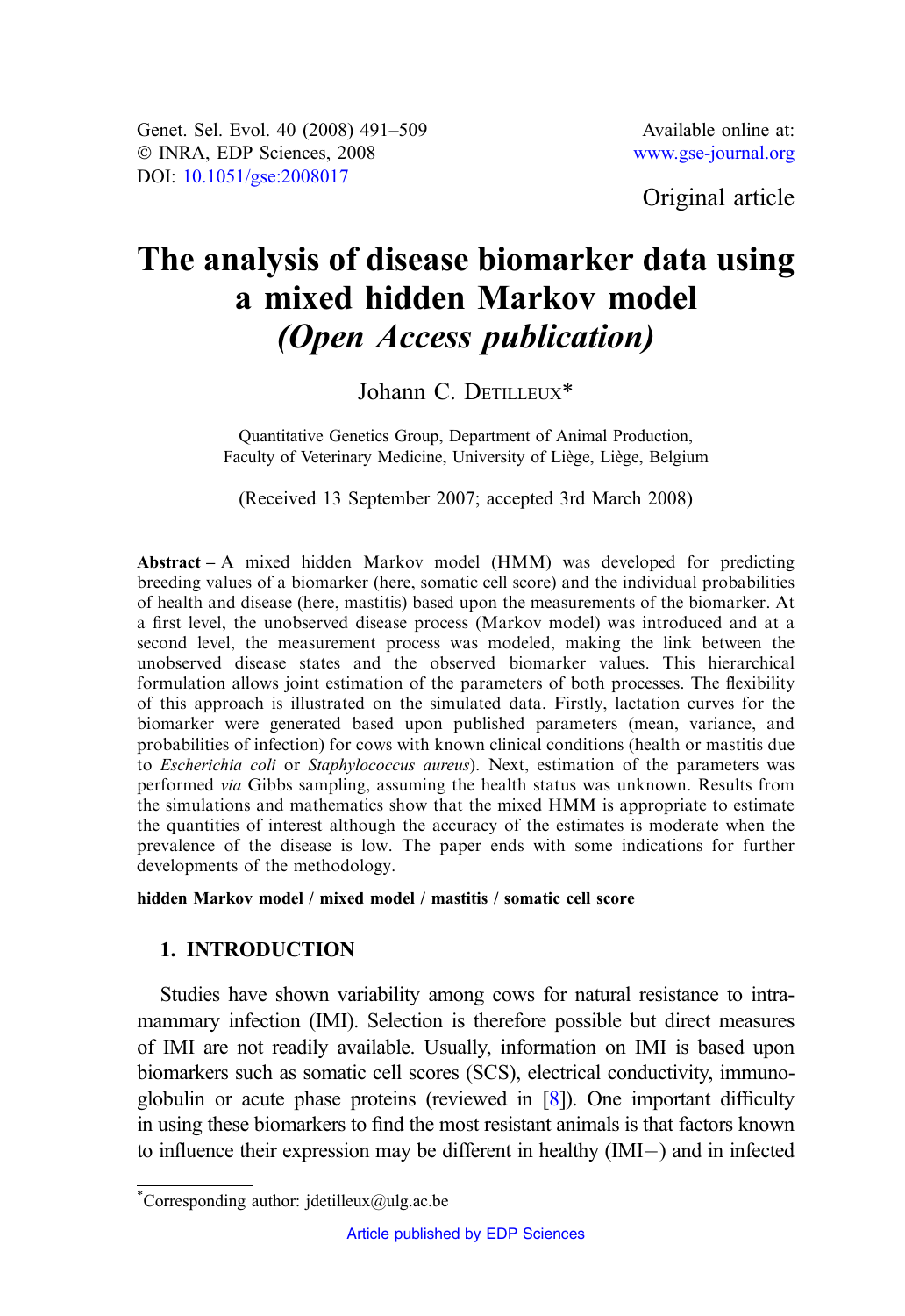Original article

# The analysis of disease biomarker data using a mixed hidden Markov model (Open Access publication)

Johann C. DETILLEUX\*

Quantitative Genetics Group, Department of Animal Production, Faculty of Veterinary Medicine, University of Liège, Liège, Belgium

(Received 13 September 2007; accepted 3rd March 2008)

Abstract – A mixed hidden Markov model (HMM) was developed for predicting breeding values of a biomarker (here, somatic cell score) and the individual probabilities of health and disease (here, mastitis) based upon the measurements of the biomarker. At a first level, the unobserved disease process (Markov model) was introduced and at a second level, the measurement process was modeled, making the link between the unobserved disease states and the observed biomarker values. This hierarchical formulation allows joint estimation of the parameters of both processes. The flexibility of this approach is illustrated on the simulated data. Firstly, lactation curves for the biomarker were generated based upon published parameters (mean, variance, and probabilities of infection) for cows with known clinical conditions (health or mastitis due to Escherichia coli or Staphylococcus aureus). Next, estimation of the parameters was performed via Gibbs sampling, assuming the health status was unknown. Results from the simulations and mathematics show that the mixed HMM is appropriate to estimate the quantities of interest although the accuracy of the estimates is moderate when the prevalence of the disease is low. The paper ends with some indications for further developments of the methodology.

hidden Markov model / mixed model / mastitis / somatic cell score

# 1. INTRODUCTION

Studies have shown variability among cows for natural resistance to intramammary infection (IMI). Selection is therefore possible but direct measures of IMI are not readily available. Usually, information on IMI is based upon biomarkers such as somatic cell scores (SCS), electrical conductivity, immunoglobulin or acute phase proteins (reviewed in [\[8](#page-15-0)]). One important difficulty in using these biomarkers to find the most resistant animals is that factors known to influence their expression may be different in healthy (IMI-) and in infected

<sup>\*</sup> Corresponding author: jdetilleux@ulg.ac.be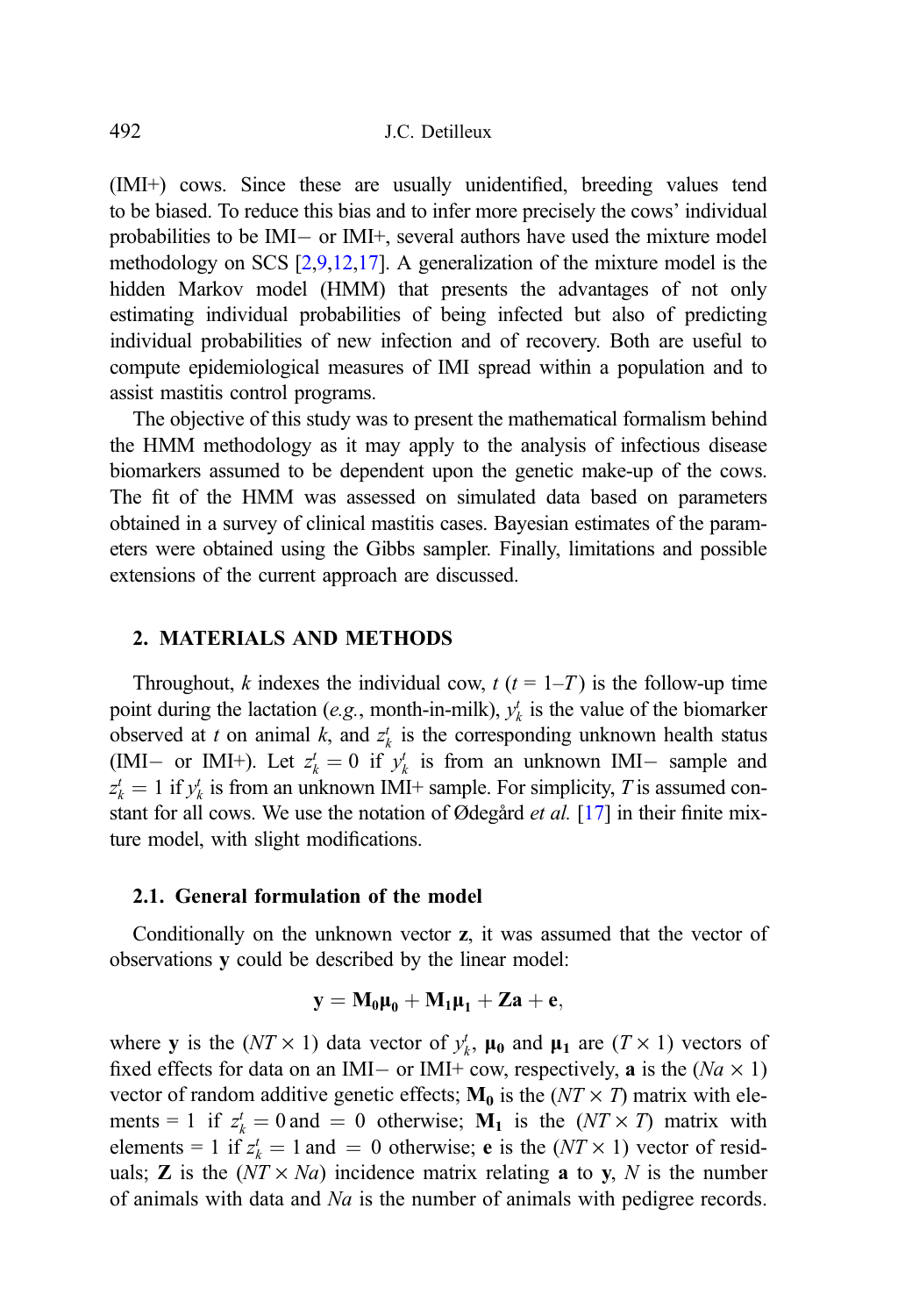(IMI+) cows. Since these are usually unidentified, breeding values tend to be biased. To reduce this bias and to infer more precisely the cows' individual probabilities to be IMI— or IMI+, several authors have used the mixture model methodology on SCS [\[2,9](#page-15-0),[12](#page-15-0)[,17\]](#page-16-0). A generalization of the mixture model is the hidden Markov model (HMM) that presents the advantages of not only estimating individual probabilities of being infected but also of predicting individual probabilities of new infection and of recovery. Both are useful to compute epidemiological measures of IMI spread within a population and to assist mastitis control programs.

The objective of this study was to present the mathematical formalism behind the HMM methodology as it may apply to the analysis of infectious disease biomarkers assumed to be dependent upon the genetic make-up of the cows. The fit of the HMM was assessed on simulated data based on parameters obtained in a survey of clinical mastitis cases. Bayesian estimates of the parameters were obtained using the Gibbs sampler. Finally, limitations and possible extensions of the current approach are discussed.

## 2. MATERIALS AND METHODS

Throughout, k indexes the individual cow,  $t$  ( $t = 1-T$ ) is the follow-up time point during the lactation (e.g., month-in-milk),  $y_k^t$  is the value of the biomarker observed at t on animal k, and  $z<sub>k</sub><sup>t</sup>$  is the corresponding unknown health status (IMI- or IMI+). Let  $z_k^t = 0$  if  $y_k^t$  is from an unknown IMI- sample and  $z_k^t = 1$  if  $y_k^t$  is from an unknown IMI+ sample. For simplicity, T is assumed constant for all cows. We use the notation of Ødegård et al.  $[17]$  in their finite mixture model, with slight modifications.

## 2.1. General formulation of the model

Conditionally on the unknown vector z, it was assumed that the vector of observations y could be described by the linear model:

$$
y = M_0\mu_0 + M_1\mu_1 + Za + e,
$$

where y is the  $(NT \times 1)$  data vector of  $y_k^t$ ,  $\mu_0$  and  $\mu_1$  are  $(T \times 1)$  vectors of fixed effects for data on an IMI– or IMI+ cow, respectively, **a** is the  $(Na \times 1)$ vector of random additive genetic effects;  $M_0$  is the (NT × T) matrix with elements = 1 if  $z_k^t = 0$  and = 0 otherwise;  $M_1$  is the  $(NT \times T)$  matrix with elements = 1 if  $z_k^t = 1$  and = 0 otherwise; e is the  $(NT \times 1)$  vector of residuals; **Z** is the  $(NT \times Na)$  incidence matrix relating **a** to **y**, *N* is the number of animals with data and Na is the number of animals with pedigree records.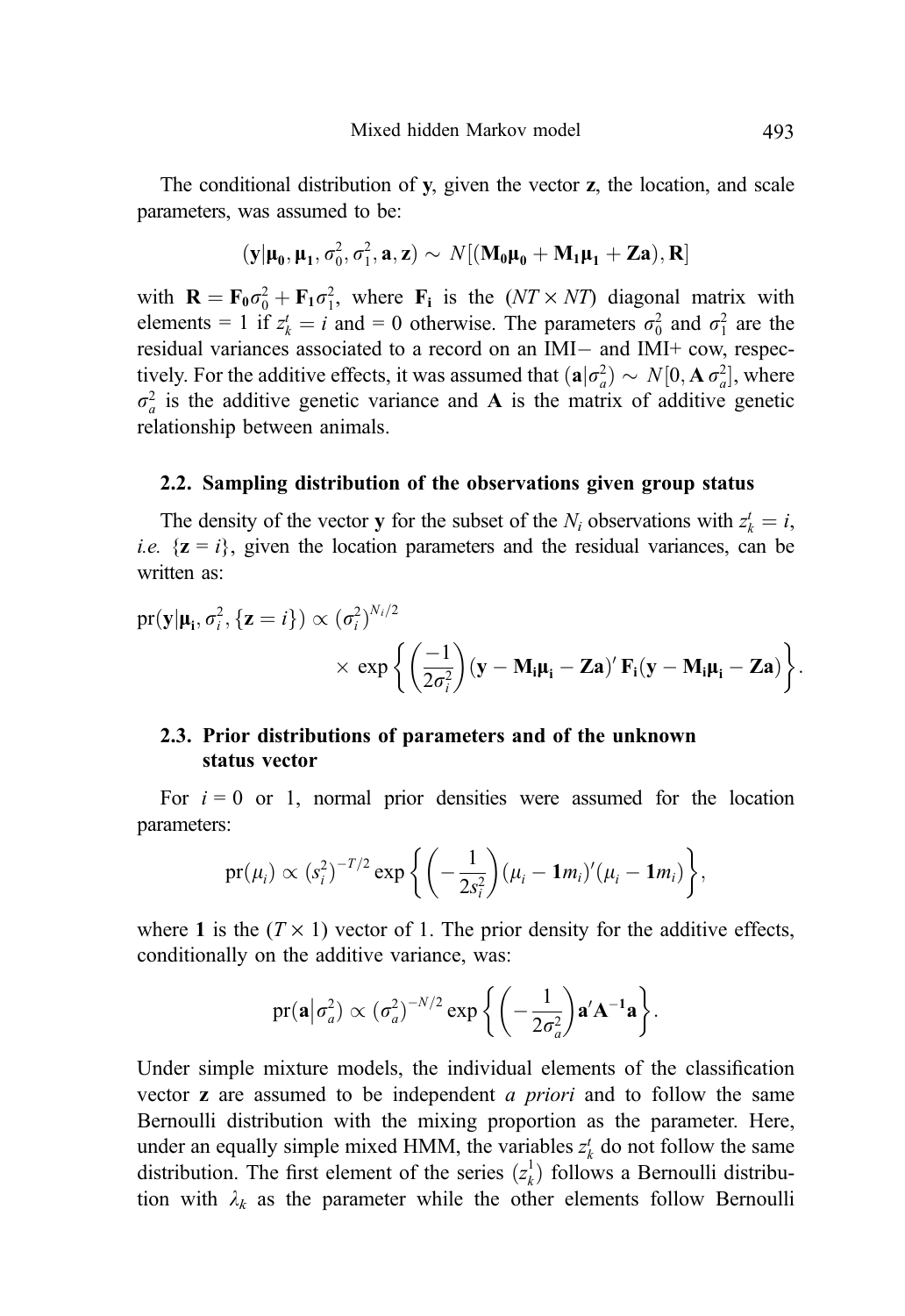The conditional distribution of  $y$ , given the vector  $z$ , the location, and scale parameters, was assumed to be:

$$
(\mathbf{y}|\boldsymbol{\mu}_0, \boldsymbol{\mu}_1, \sigma_0^2, \sigma_1^2, \mathbf{a}, \mathbf{z}) \sim N[(\mathbf{M}_0\boldsymbol{\mu}_0 + \mathbf{M}_1\boldsymbol{\mu}_1 + \mathbf{Z}\mathbf{a}), \mathbf{R}]
$$

with  $\mathbf{R} = \mathbf{F}_0 \sigma_0^2 + \mathbf{F}_1 \sigma_1^2$ , where  $\mathbf{F}_i$  is the  $(NT \times NT)$  diagonal matrix with elements = 1 if  $z_k^i = i$  and = 0 otherwise. The parameters  $\sigma_0^2$  and  $\sigma_1^2$  are the residual variances associated to a record on an IMI- and IMI+ cow, respectively. For the additive effects, it was assumed that  $(\mathbf{a}|\sigma_a^2) \sim N[0, \mathbf{A} \sigma_a^2]$ , where  $\sigma_a^2$  is the additive genetic variance and **A** is the matrix of additive genetic relationship between animals.

## 2.2. Sampling distribution of the observations given group status

The density of the vector **y** for the subset of the  $N_i$  observations with  $z_k^t = i$ , *i.e.*  $\{z = i\}$ , given the location parameters and the residual variances, can be written as:

$$
pr(\mathbf{y}|\mathbf{\mu}_i, \sigma_i^2, \{\mathbf{z} = i\}) \propto (\sigma_i^2)^{N_i/2}
$$
  
 
$$
\times \exp\left\{ \left( \frac{-1}{2\sigma_i^2} \right) (\mathbf{y} - \mathbf{M}_i \mathbf{\mu}_i - \mathbf{Z} \mathbf{a})' \mathbf{F}_i (\mathbf{y} - \mathbf{M}_i \mathbf{\mu}_i - \mathbf{Z} \mathbf{a}) \right\}.
$$

## 2.3. Prior distributions of parameters and of the unknown status vector

For  $i = 0$  or 1, normal prior densities were assumed for the location parameters:

$$
\mathrm{pr}(\mu_i) \propto (s_i^2)^{-T/2} \exp\bigg\{\bigg(-\frac{1}{2s_i^2}\bigg)(\mu_i - \mathbf{1}m_i)'(\mu_i - \mathbf{1}m_i)\bigg\},
$$

where 1 is the  $(T \times 1)$  vector of 1. The prior density for the additive effects, conditionally on the additive variance, was:

$$
\mathrm{pr}(\mathbf{a}\big|\sigma_a^2\big) \propto (\sigma_a^2)^{-N/2} \exp\bigg\{\bigg(-\frac{1}{2\sigma_a^2}\bigg)\mathbf{a}'\mathbf{A}^{-1}\mathbf{a}\bigg\}.
$$

Under simple mixture models, the individual elements of the classification vector z are assumed to be independent a priori and to follow the same Bernoulli distribution with the mixing proportion as the parameter. Here, under an equally simple mixed HMM, the variables  $z<sub>k</sub><sup>t</sup>$  do not follow the same distribution. The first element of the series  $(z_k^1)$  follows a Bernoulli distribution with  $\lambda_k$  as the parameter while the other elements follow Bernoulli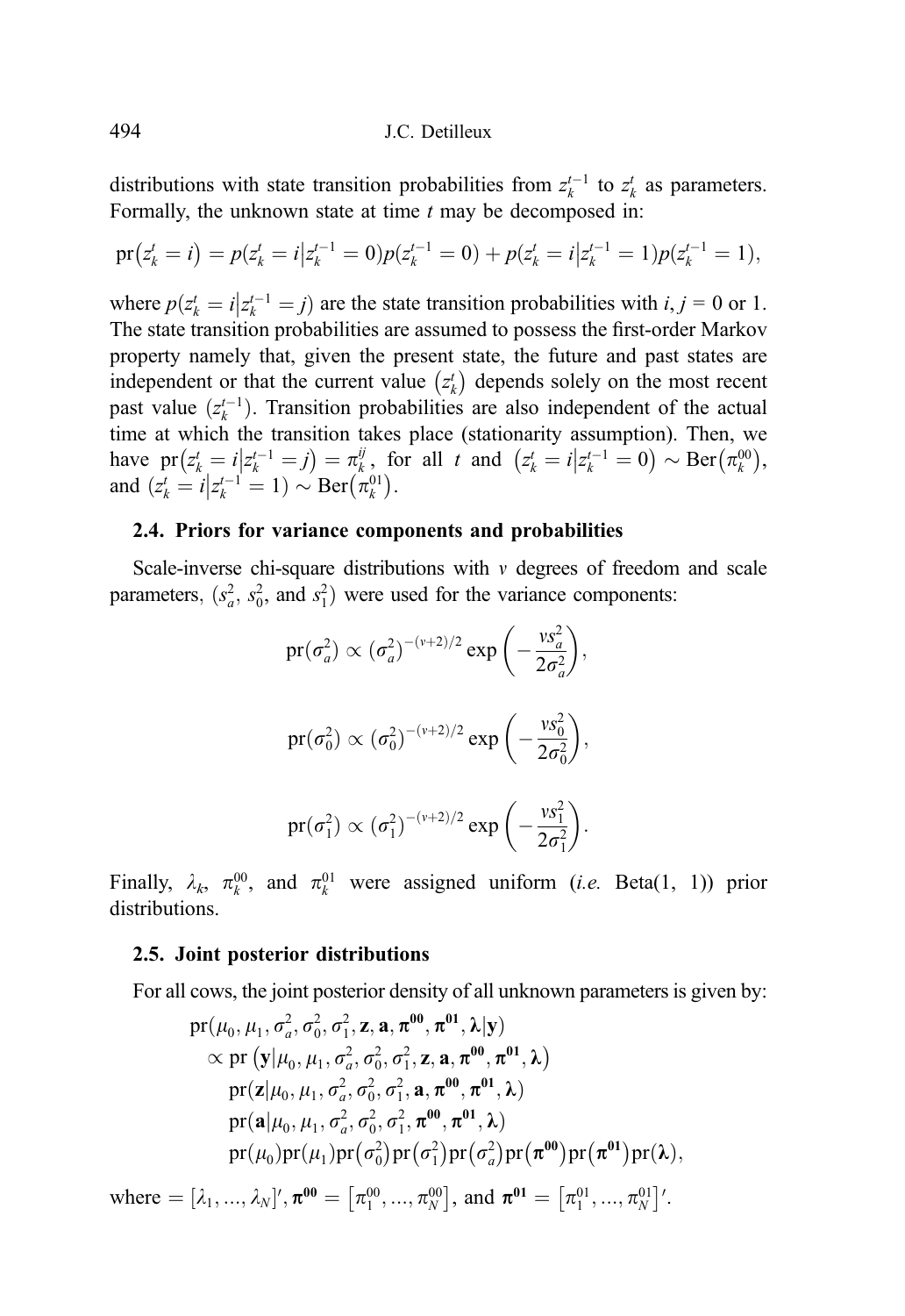distributions with state transition probabilities from  $z_k^{t-1}$  to  $z_k^t$  as parameters. Formally, the unknown state at time  $t$  may be decomposed in:

$$
\mathrm{pr}(z_k^t = i) = p(z_k^t = i | z_k^{t-1} = 0)p(z_k^{t-1} = 0) + p(z_k^t = i | z_k^{t-1} = 1)p(z_k^{t-1} = 1),
$$

where  $p(z_k^t = i | z_k^{t-1} = j)$  are the state transition probabilities with  $i, j = 0$  or 1. The state transition probabilities are assumed to possess the first-order Markov property namely that, given the present state, the future and past states are independent or that the current value  $(z<sub>k</sub>)$  depends solely on the most recent past value  $(z_k^{t-1})$ . Transition probabilities are also independent of the actual time at which the transition takes place (stationarity assumption). Then, we have  $pr(z'_{k} = i|z'^{-1}_{k} = j) = \pi^{ij}_{k}$ , for all t and  $(z'_{k} = i|z'^{-1}_{k} = 0) \sim Ber(\pi^{00}_{k})$ , and  $(z_k^t = i | z_k^{t-1} = 1) \sim \text{Ber}(\pi_k^{01}).$ 

#### 2.4. Priors for variance components and probabilities

Scale-inverse chi-square distributions with  $\nu$  degrees of freedom and scale parameters,  $(s_a^2, s_0^2, \text{ and } s_1^2)$  were used for the variance components:

$$
\begin{array}{l} \textrm{pr}(\sigma_a^2) \propto (\sigma_a^2)^{-(v+2)/2} \exp\left(-\frac{vs_a^2}{2\sigma_a^2}\right), \\\\ \textrm{pr}(\sigma_0^2) \propto (\sigma_0^2)^{-(v+2)/2} \exp\left(-\frac{vs_0^2}{2\sigma_0^2}\right), \\\\ \textrm{pr}(\sigma_1^2) \propto (\sigma_1^2)^{-(v+2)/2} \exp\left(-\frac{vs_1^2}{2\sigma_1^2}\right). \end{array}
$$

Finally,  $\lambda_k$ ,  $\pi_k^{00}$ , and  $\pi_k^{01}$  were assigned uniform (*i.e.* Beta(1, 1)) prior distributions.

## 2.5. Joint posterior distributions

For all cows, the joint posterior density of all unknown parameters is given by:

$$
pr(\mu_0, \mu_1, \sigma_a^2, \sigma_0^2, \sigma_1^2, \mathbf{z}, \mathbf{a}, \pi^{00}, \pi^{01}, \lambda | \mathbf{y})
$$
  
\n
$$
\propto pr(\mathbf{y} | \mu_0, \mu_1, \sigma_a^2, \sigma_0^2, \sigma_1^2, \mathbf{z}, \mathbf{a}, \pi^{00}, \pi^{01}, \lambda)
$$
  
\n
$$
pr(\mathbf{z} | \mu_0, \mu_1, \sigma_a^2, \sigma_0^2, \sigma_1^2, \mathbf{a}, \pi^{00}, \pi^{01}, \lambda)
$$
  
\n
$$
pr(\mathbf{a} | \mu_0, \mu_1, \sigma_a^2, \sigma_0^2, \sigma_1^2, \pi^{00}, \pi^{01}, \lambda)
$$
  
\n
$$
pr(\mu_0) pr(\mu_1) pr(\sigma_0^2) pr(\sigma_1^2) pr(\sigma_a^2) pr(\pi^{00}) pr(\pi^{01}) pr(\lambda),
$$

where  $=[\lambda_{1},...,\lambda_{N}]',\bm{\pi}^{\bm{00}}=\left[\pi_{1}^{00},...,\pi_{N}^{00}\right]$  $\left[\pi_1^{00},\ldots,\pi_N^{00}\right]$ , and  $\boldsymbol{\pi}^{01} = \left[\pi_1^{01},\ldots,\pi_N^{01}\right]$  $\lceil \pi_1^{01}, \ldots, \pi_N^{01} \rceil'.$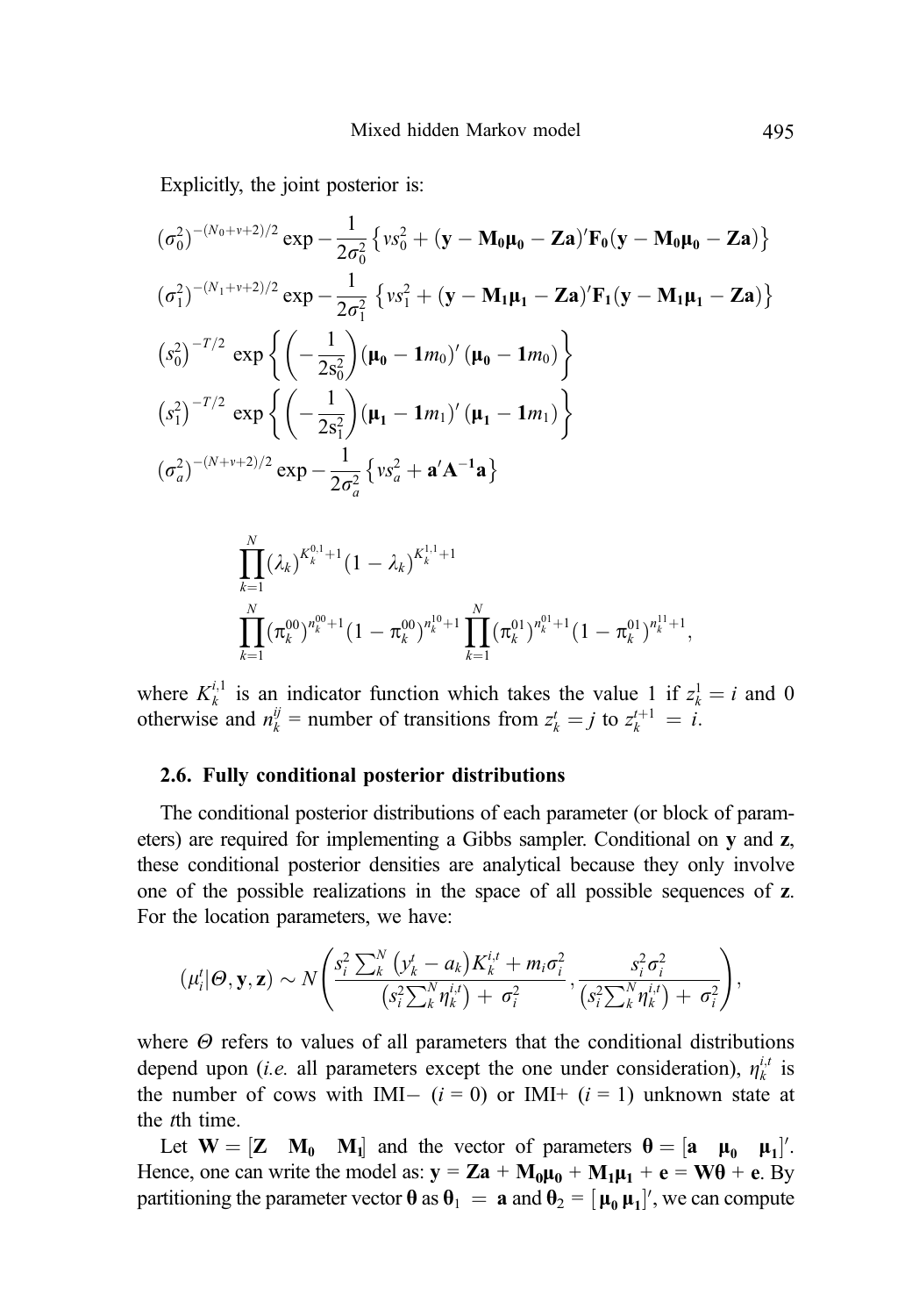Explicitly, the joint posterior is:

$$
(\sigma_0^2)^{-(N_0+\nu+2)/2} \exp -\frac{1}{2\sigma_0^2} \{ \nu s_0^2 + (\mathbf{y} - \mathbf{M}_0 \boldsymbol{\mu}_0 - \mathbf{Z}\mathbf{a})' \mathbf{F}_0 (\mathbf{y} - \mathbf{M}_0 \boldsymbol{\mu}_0 - \mathbf{Z}\mathbf{a}) \}
$$
  
\n
$$
(\sigma_1^2)^{-(N_1+\nu+2)/2} \exp -\frac{1}{2\sigma_1^2} \{ \nu s_1^2 + (\mathbf{y} - \mathbf{M}_1 \boldsymbol{\mu}_1 - \mathbf{Z}\mathbf{a})' \mathbf{F}_1 (\mathbf{y} - \mathbf{M}_1 \boldsymbol{\mu}_1 - \mathbf{Z}\mathbf{a}) \}
$$
  
\n
$$
(s_0^2)^{-T/2} \exp \left\{ \left( -\frac{1}{2s_0^2} \right) (\boldsymbol{\mu}_0 - \mathbf{1}m_0)' (\boldsymbol{\mu}_0 - \mathbf{1}m_0) \right\}
$$
  
\n
$$
(s_1^2)^{-T/2} \exp \left\{ \left( -\frac{1}{2s_1^2} \right) (\boldsymbol{\mu}_1 - \mathbf{1}m_1)' (\boldsymbol{\mu}_1 - \mathbf{1}m_1) \right\}
$$
  
\n
$$
(\sigma_a^2)^{-(N+\nu+2)/2} \exp -\frac{1}{2\sigma_a^2} \{ \nu s_a^2 + \mathbf{a}' \mathbf{A}^{-1} \mathbf{a} \}
$$
  
\n
$$
\prod_{k=1}^N (\lambda_k)^{K_k^{0,1}+1} (1 - \lambda_k)^{K_k^{1,1}+1}
$$
  
\n
$$
\prod_{k=1}^N (\pi_k^{00})^{n_k^{00}+1} (1 - \pi_k^{00})^{n_k^{10}+1} \prod_{k=1}^N (\pi_k^{01})^{n_k^{01}+1} (1 - \pi_k^{01})^{n_k^{11}+1},
$$

where  $K_k^{i,1}$  is an indicator function which takes the value 1 if  $z_k^1 = i$  and 0 otherwise and  $n_k^{ij}$  = number of transitions from  $z_k^t = j$  to  $z_k^{t+1} = i$ .

## 2.6. Fully conditional posterior distributions

The conditional posterior distributions of each parameter (or block of parameters) are required for implementing a Gibbs sampler. Conditional on y and z, these conditional posterior densities are analytical because they only involve one of the possible realizations in the space of all possible sequences of z. For the location parameters, we have:

$$
(\mu_i^l|\boldsymbol{\Theta}, \mathbf{y}, \mathbf{z}) \sim N\Bigg(\frac{s_i^2 \sum_k^N (y_k^i - a_k)K_k^{i,t} + m_i \sigma_i^2}{(s_i^2 \sum_k^N \eta_k^{i,t}) + \sigma_i^2}, \frac{s_i^2 \sigma_i^2}{(s_i^2 \sum_k^N \eta_k^{i,t}) + \sigma_i^2}\Bigg),
$$

where  $\Theta$  refers to values of all parameters that the conditional distributions depend upon (*i.e.* all parameters except the one under consideration),  $\eta_k^{i,t}$  is the number of cows with IMI-  $(i = 0)$  or IMI+  $(i = 1)$  unknown state at the tth time.

Let  $\mathbf{W} = [\mathbf{Z} \quad \mathbf{M}_0 \quad \mathbf{M}_1]$  and the vector of parameters  $\mathbf{\theta} = [\mathbf{a} \quad \mathbf{\mu}_0 \quad \mathbf{\mu}_1]'$ . Hence, one can write the model as:  $y = Za + M_0\mu_0 + M_1\mu_1 + e = W\theta + e$ . By partitioning the parameter vector  $\theta$  as  $\theta_1 = \mathbf{a}$  and  $\theta_2 = [\mathbf{\mu}_0 \mathbf{\mu}_1]'$ , we can compute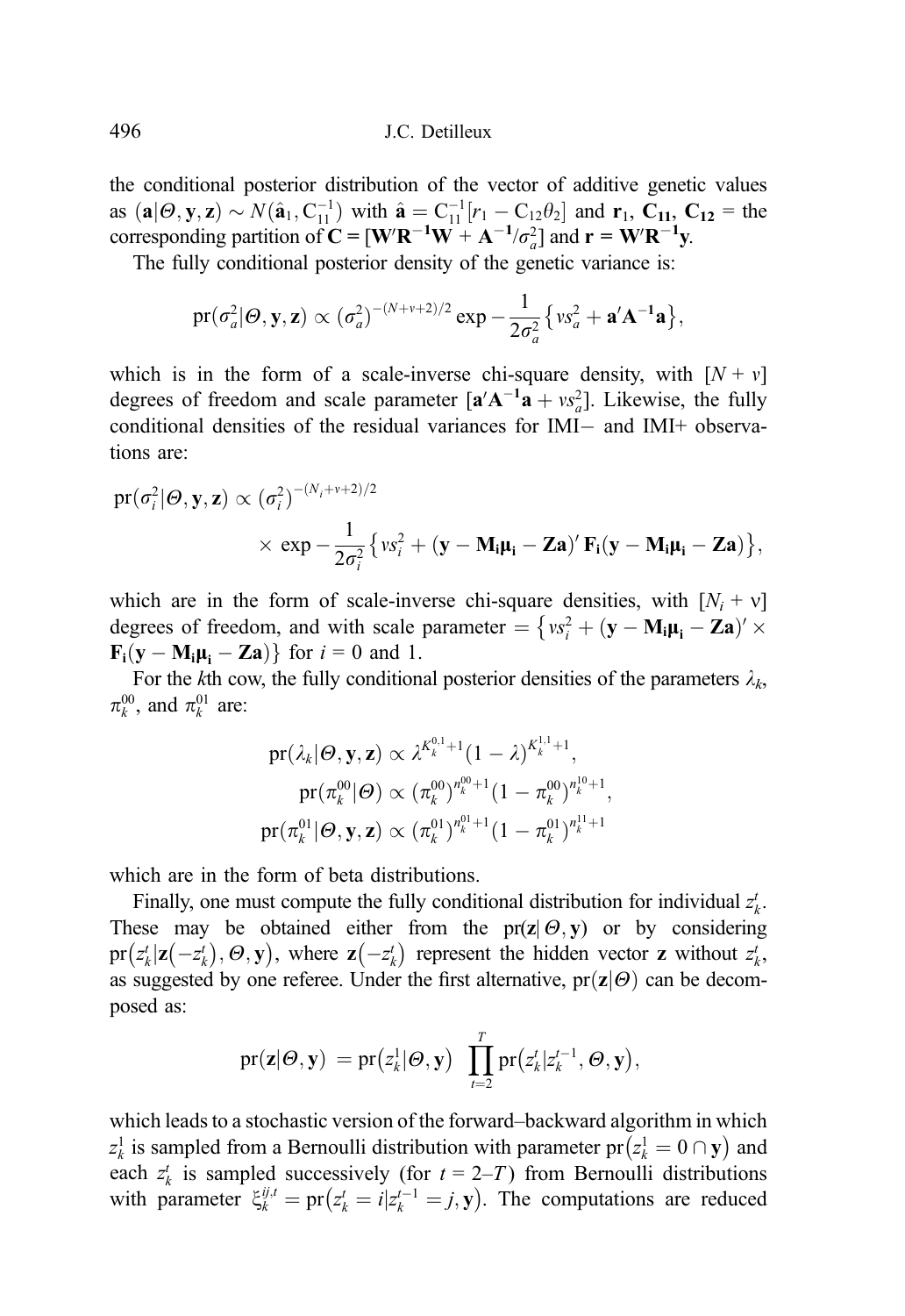the conditional posterior distribution of the vector of additive genetic values as  $(\mathbf{a}|\Theta, \mathbf{y}, \mathbf{z}) \sim N(\hat{\mathbf{a}}_1, C_{11}^{-1})$  with  $\hat{\mathbf{a}} = C_{11}^{-1}[r_1 - C_{12}\theta_2]$  and  $\mathbf{r}_1, \mathbf{C_{11}}, \mathbf{C_{12}} = \text{the}$ corresponding partition of  $\mathbf{C} = [\mathbf{W}'\mathbf{R}^{-1}\mathbf{W} + \mathbf{A}^{-1}/\sigma_a^2]$  and  $\mathbf{r} = \mathbf{W}'\mathbf{R}^{-1}\mathbf{y}$ .

The fully conditional posterior density of the genetic variance is:

$$
\text{pr}(\sigma_a^2|\boldsymbol{\Theta}, \mathbf{y}, \mathbf{z}) \propto (\sigma_a^2)^{-(N+\nu+2)/2} \exp{-\frac{1}{2\sigma_a^2} \left\{ vs_a^2 + \mathbf{a}' \mathbf{A}^{-1} \mathbf{a} \right\}},
$$

which is in the form of a scale-inverse chi-square density, with  $[N + v]$ degrees of freedom and scale parameter  $[\mathbf{a}'\mathbf{A}^{-1}\mathbf{a} + \nu s_a^2]$ . Likewise, the fully conditional densities of the residual variances for IMI- and IMI+ observations are:

$$
pr(\sigma_i^2 | \boldsymbol{\Theta}, \mathbf{y}, \mathbf{z}) \propto (\sigma_i^2)^{-(N_i + v + 2)/2}
$$
  
 
$$
\times \exp{-\frac{1}{2\sigma_i^2} \{ vs_i^2 + (\mathbf{y} - \mathbf{M}_i \mathbf{\mu}_i - \mathbf{Z}\mathbf{a})' \mathbf{F}_i (\mathbf{y} - \mathbf{M}_i \mathbf{\mu}_i - \mathbf{Z}\mathbf{a}) \},}
$$

which are in the form of scale-inverse chi-square densities, with  $[N_i + v]$ degrees of freedom, and with scale parameter  $= \{ vs_i^2 + (\mathbf{y} - \mathbf{M_i}\boldsymbol{\mu_i} - \mathbf{Za})' \times$  $\mathbf{F_i}(\mathbf{y} - \mathbf{M_i}\boldsymbol{\mu_i} - \mathbf{Za})\}$  for  $i = 0$  and 1.

For the kth cow, the fully conditional posterior densities of the parameters  $\lambda_k$ ,  $\pi_k^{00}$ , and  $\pi_k^{01}$  are:

$$
\begin{aligned} \text{pr}(\lambda_k | \boldsymbol{\Theta}, \mathbf{y}, \mathbf{z}) &\propto \lambda^{K_k^{0,1}+1} (1-\lambda)^{K_k^{1,1}+1}, \\ \text{pr}(\pi_k^{00} | \boldsymbol{\Theta}) &\propto (\pi_k^{00})^{n_k^{00}+1} (1-\pi_k^{00})^{n_k^{10}+1}, \\ \text{pr}(\pi_k^{01} | \boldsymbol{\Theta}, \mathbf{y}, \mathbf{z}) &\propto (\pi_k^{01})^{n_k^{01}+1} (1-\pi_k^{01})^{n_k^{11}+1} \end{aligned}
$$

which are in the form of beta distributions.

Finally, one must compute the fully conditional distribution for individual  $z_k^t$ . These may be obtained either from the  $pr(z | \Theta, y)$  or by considering pr  $(z_k' | z(-z_k'), \Theta, y)$ , where  $z(-z_k')$  represent the hidden vector z without  $z_k'$ , as suggested by one referee. Under the first alternative,  $pr(z|\Theta)$  can be decomposed as:

$$
\text{pr}(\mathbf{z}|\boldsymbol{\Theta}, \mathbf{y}) = \text{pr}\big( z_k^1|\boldsymbol{\Theta}, \mathbf{y} \big) \; \; \prod_{t=2}^T \text{pr}\big( z_k^t|z_k^{t-1}, \boldsymbol{\Theta}, \mathbf{y} \big),
$$

which leads to a stochastic version of the forward–backward algorithm in which when reads to a stochastic version of the forward backward digorithm in which  $z_k^1$  is sampled from a Bernoulli distribution with parameter  $pr(z_k^1 = 0 \cap y)$  and each  $z_k^t$  is sampled successively (for  $t = 2 - T$ ) from Bernoulli distributions with parameter  $\xi_k^{ij,t} = \text{pr}(z_k^t = i|z_k^{t-1} = j, \mathbf{y})$ . The computations are reduced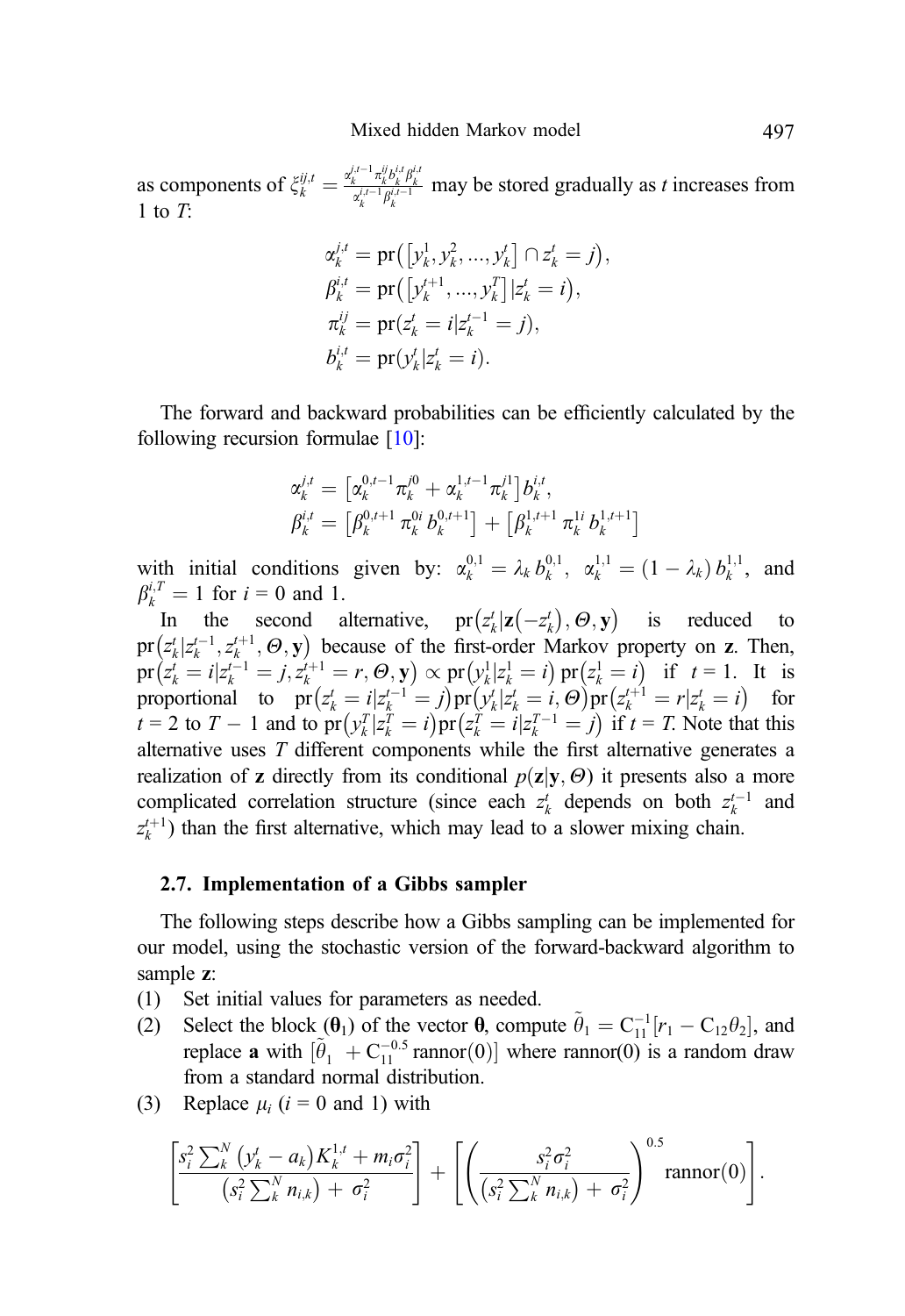as components of  $\xi_k^{ij,t} = \frac{\alpha_k^{i,t-1} \pi_k^{ij} k_k^{i,t} \beta_k^{i,t}}{\alpha_k^{i,t-1} \beta_k^{i,t-1}}$  may be stored gradually as t increases from 1 to  $T<sup>2</sup>$ 

$$
\alpha_k^{j,t} = \text{pr}([y_k^1, y_k^2, ..., y_k^t] \cap z_k^t = j), \n\beta_k^{i,t} = \text{pr}([y_k^{t+1}, ..., y_k^T]|z_k^t = i), \n\pi_k^{ij} = \text{pr}(z_k^t = i|z_k^{t-1} = j), \n\beta_k^{i,t} = \text{pr}(y_k^t|z_k^t = i).
$$

The forward and backward probabilities can be efficiently calculated by the following recursion formulae [\[10\]](#page-15-0):

$$
\alpha_k^{j,t} = \left[ \alpha_k^{0,t-1} \pi_k^{j0} + \alpha_k^{1,t-1} \pi_k^{j1} \right] b_k^{i,t},
$$
  

$$
\beta_k^{i,t} = \left[ \beta_k^{0,t+1} \pi_k^{0i} b_k^{0,t+1} \right] + \left[ \beta_k^{1,t+1} \pi_k^{1i} b_k^{1,t+1} \right]
$$

with initial conditions given by:  $\alpha_k^{0,1} = \lambda_k b_k^{0,1}, \alpha_k^{1,1} = (1 - \lambda_k) b_k^{1,1},$  and  $\beta_k^{i,T} = 1$  for  $i = 0$  and 1.

In the second  $(z_k^t | \mathbf{z}(-z_k^t), \Theta, \mathbf{y})$  is reduced to pr  $(z_k^t | z_k^{t-1}, z_k^{t+1}, \Theta, \mathbf{y})$  because of the first-order Markov property on z. Then, pr  $(z_k^i = i | z_k^{i-1} = j, z_k^{i+1} = r, \Theta, \mathbf{y}) \propto \text{pr}(y_k^i | z_k^1 = i) \text{ pr}(z_k^1 = i)$  if  $t = 1$ . It is proportional to  $pr(z_k^j = i | z_k^{j-1} = j)pr(y_k^j | z_k^j = i, \Theta)pr(z_k^{j+1} = r | z_k^j = i)$  for  $t = 2$  to  $T - 1$  and to  $pr(y_k^T | z_k^T = i) pr(z_k^T = i | z_k^T - j)$  if  $t = T$ . Note that this alternative uses  $T$  different components while the first alternative generates a realization of z directly from its conditional  $p(z|y, \Theta)$  it presents also a more complicated correlation structure (since each  $z_k^t$  depends on both  $z_k^{t-1}$  and  $z_k^{t+1}$ ) than the first alternative, which may lead to a slower mixing chain.

## 2.7. Implementation of a Gibbs sampler

The following steps describe how a Gibbs sampling can be implemented for our model, using the stochastic version of the forward-backward algorithm to sample z:

- (1) Set initial values for parameters as needed.
- (2) Select the block  $(\theta_1)$  of the vector  $\theta$ , compute  $\tilde{\theta}_1 = C_{11}^{-1} [r_1 C_{12} \theta_2]$ , and replace **a** with  $\left[\tilde{\theta}_1 + C_{11}^{-0.5} \text{rannor}(0)\right]$  where rannor(0) is a random draw from a standard normal distribution.
- (3) Replace  $\mu_i$  (i = 0 and 1) with

$$
\left[\frac{s_i^2 \sum_{k}^{N} (y_k^t - a_k) K_k^{1,t} + m_i \sigma_i^2}{(s_i^2 \sum_{k}^{N} n_{i,k}) + \sigma_i^2}\right] + \left[\left(\frac{s_i^2 \sigma_i^2}{(s_i^2 \sum_{k}^{N} n_{i,k}) + \sigma_i^2}\right)^{0.5} \text{rannor}(0)\right].
$$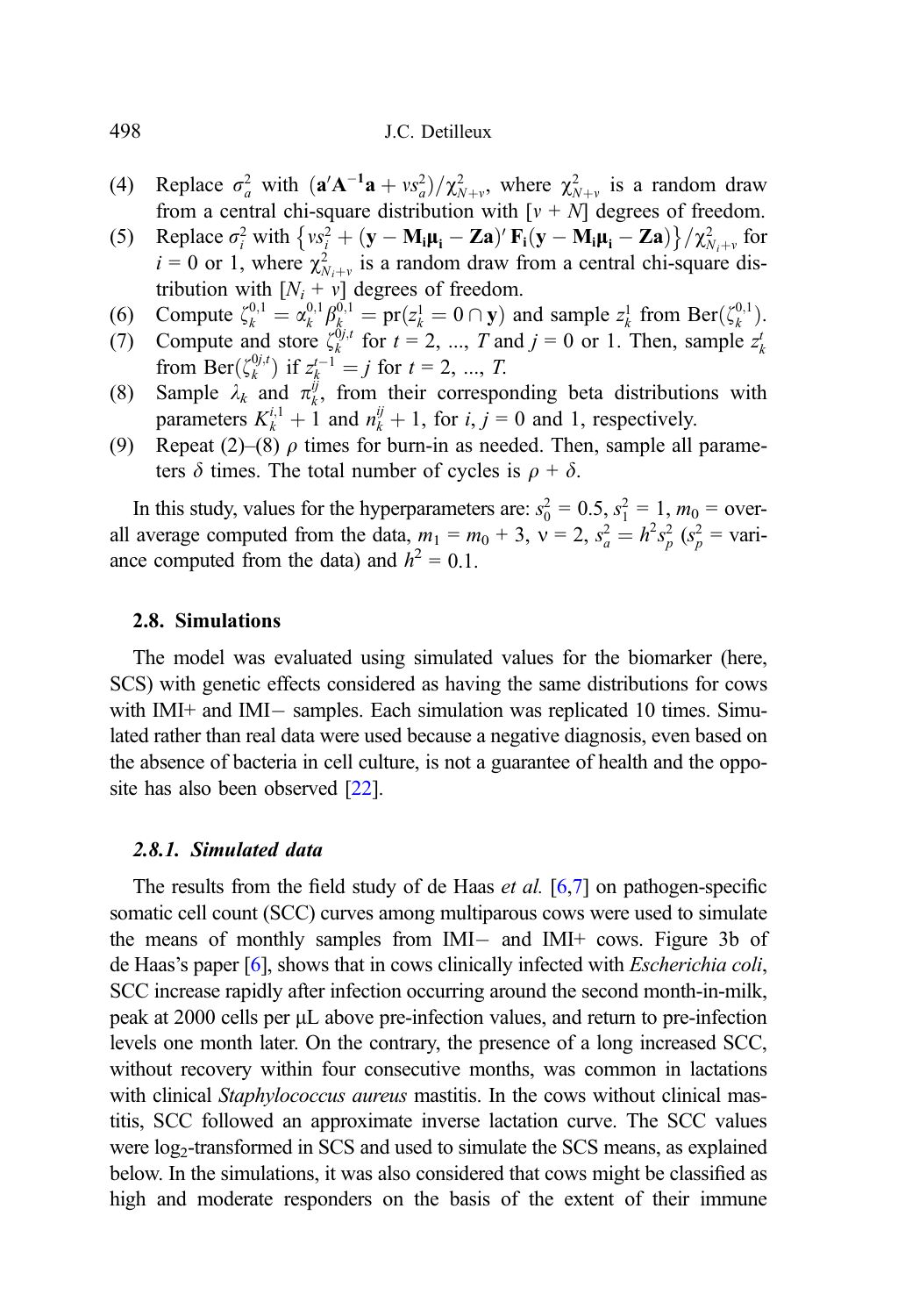- (4) Replace  $\sigma_a^2$  with  $(\mathbf{a}'\mathbf{A}^{-1}\mathbf{a} + vs_a^2)/\chi^2_{N+\nu}$ , where  $\chi^2_{N+\nu}$  is a random draw from a central chi-square distribution with  $[v + N]$  degrees of freedom.
- (5) Replace  $\sigma_i^2$  with  $\{v_s^2 + (\mathbf{y} \mathbf{M_i}\mathbf{\mu_i} \mathbf{Z}\mathbf{a})'\mathbf{F_i}(\mathbf{y} \mathbf{M_i}\mathbf{\mu_i} \mathbf{Z}\mathbf{a})\}/\chi^2_{N_i+\nu}$  for  $i = 0$  or 1, where  $\chi^2_{N_i+v}$  is a random draw from a central chi-square distribution with  $[N_i + v]$  degrees of freedom.
- (6) Compute  $\zeta_k^{0,1} = \alpha_k^{0,1} \beta_{k}^{0,1} = \text{pr}(z_k^1 = 0 \cap y)$  and sample  $z_k^1$  from  $\text{Ber}(\zeta_k^{0,1})$ .
- (7) Compute and store  $\zeta_k^{0j,t}$  for  $t = 2, ..., T$  and  $j = 0$  or 1. Then, sample  $z_k^t$  from Ber $(\zeta_k^{0j,t})$  if  $z_k^{t-1} = j$  for  $t = 2, ..., T$ .
- (8) Sample  $\lambda_k$  and  $\pi_k^{ij}$ , from their corresponding beta distributions with parameters  $K_k^{i,1} + 1$  and  $n_k^{ij} + 1$ , for  $i, j = 0$  and 1, respectively.
- (9) Repeat (2)–(8)  $\rho$  times for burn-in as needed. Then, sample all parameters  $\delta$  times. The total number of cycles is  $\rho + \delta$ .

In this study, values for the hyperparameters are:  $s_0^2 = 0.5$ ,  $s_1^2 = 1$ ,  $m_0 =$  overall average computed from the data,  $m_1 = m_0 + 3$ ,  $v = 2$ ,  $s_a^2 = h^2 s_p^2$  ( $s_p^2 = \text{vari-}$ ance computed from the data) and  $h^2 = 0.1$ .

## 2.8. Simulations

The model was evaluated using simulated values for the biomarker (here, SCS) with genetic effects considered as having the same distributions for cows with IMI+ and IMI- samples. Each simulation was replicated 10 times. Simulated rather than real data were used because a negative diagnosis, even based on the absence of bacteria in cell culture, is not a guarantee of health and the opposite has also been observed [[22](#page-16-0)].

#### 2.8.1. Simulated data

The results from the field study of de Haas *et al.* [\[6,7](#page-15-0)] on pathogen-specific somatic cell count (SCC) curves among multiparous cows were used to simulate the means of monthly samples from IMI- and IMI+ cows. Figure 3b of de Haas's paper [\[6\]](#page-15-0), shows that in cows clinically infected with Escherichia coli, SCC increase rapidly after infection occurring around the second month-in-milk, peak at 2000 cells per  $\mu$ L above pre-infection values, and return to pre-infection levels one month later. On the contrary, the presence of a long increased SCC, without recovery within four consecutive months, was common in lactations with clinical *Staphylococcus aureus* mastitis. In the cows without clinical mastitis, SCC followed an approximate inverse lactation curve. The SCC values were log<sub>2</sub>-transformed in SCS and used to simulate the SCS means, as explained below. In the simulations, it was also considered that cows might be classified as high and moderate responders on the basis of the extent of their immune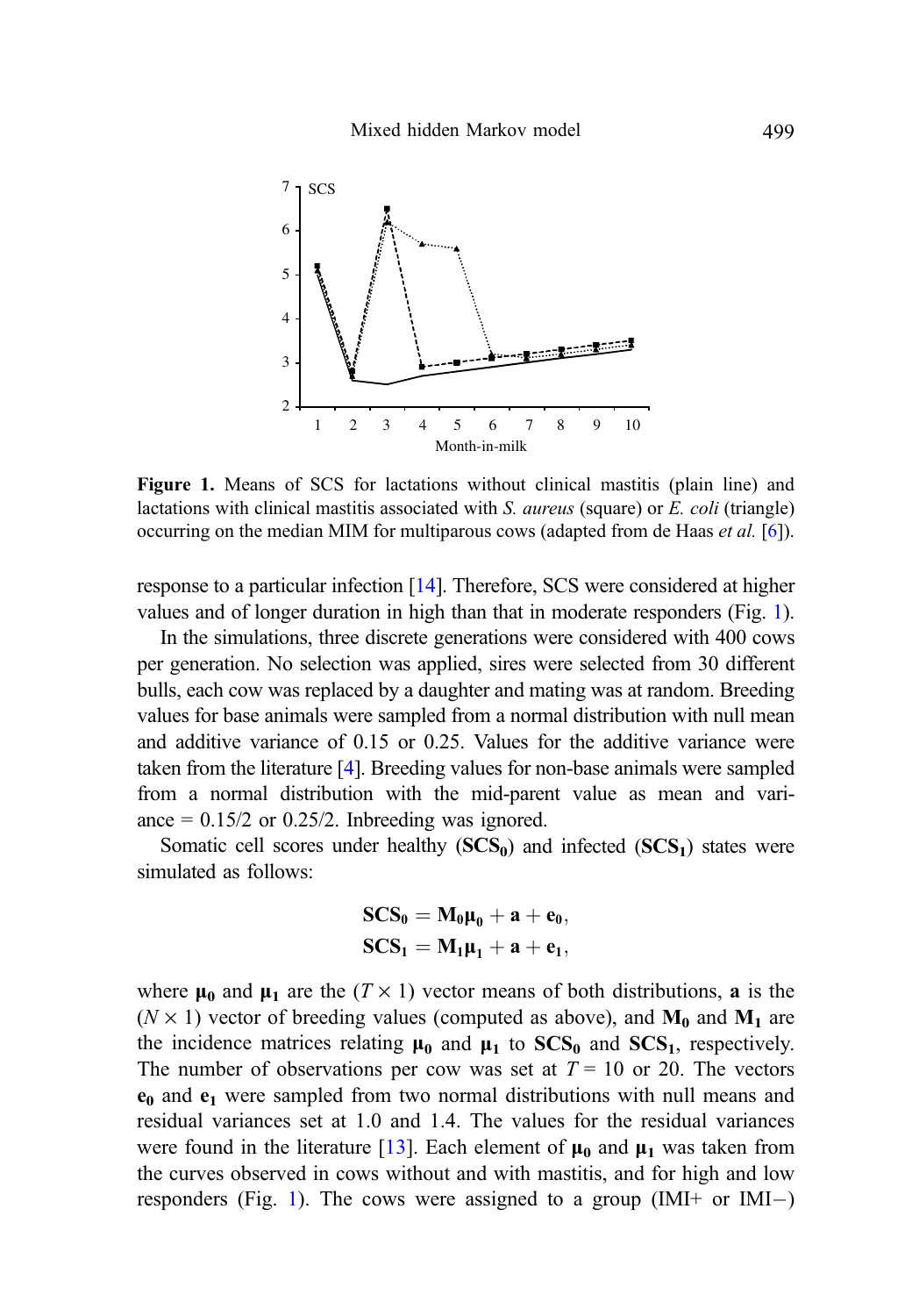

Figure 1. Means of SCS for lactations without clinical mastitis (plain line) and lactations with clinical mastitis associated with S. aureus (square) or E. coli (triangle) occurring on the median MIM for multiparous cows (adapted from de Haas et al. [\[6](#page-15-0)]).

response to a particular infection [[14](#page-16-0)]. Therefore, SCS were considered at higher values and of longer duration in high than that in moderate responders (Fig. 1).

In the simulations, three discrete generations were considered with 400 cows per generation. No selection was applied, sires were selected from 30 different bulls, each cow was replaced by a daughter and mating was at random. Breeding values for base animals were sampled from a normal distribution with null mean and additive variance of 0.15 or 0.25. Values for the additive variance were taken from the literature [[4](#page-15-0)]. Breeding values for non-base animals were sampled from a normal distribution with the mid-parent value as mean and variance  $= 0.15/2$  or 0.25/2. Inbreeding was ignored.

Somatic cell scores under healthy  $(SCS_0)$  and infected  $(SCS_1)$  states were simulated as follows:

$$
SCS_0 = M_0 \mu_0 + a + e_0,
$$
  

$$
SCS_1 = M_1 \mu_1 + a + e_1,
$$

where  $\mu_0$  and  $\mu_1$  are the  $(T \times 1)$  vector means of both distributions, a is the  $(N \times 1)$  vector of breeding values (computed as above), and  $M_0$  and  $M_1$  are the incidence matrices relating  $\mu_0$  and  $\mu_1$  to  $SCS_0$  and  $SCS_1$ , respectively. The number of observations per cow was set at  $T = 10$  or 20. The vectors  $e_0$  and  $e_1$  were sampled from two normal distributions with null means and residual variances set at 1.0 and 1.4. The values for the residual variances were found in the literature [\[13](#page-16-0)]. Each element of  $\mu_0$  and  $\mu_1$  was taken from the curves observed in cows without and with mastitis, and for high and low responders (Fig. 1). The cows were assigned to a group (IMI+ or IMI-)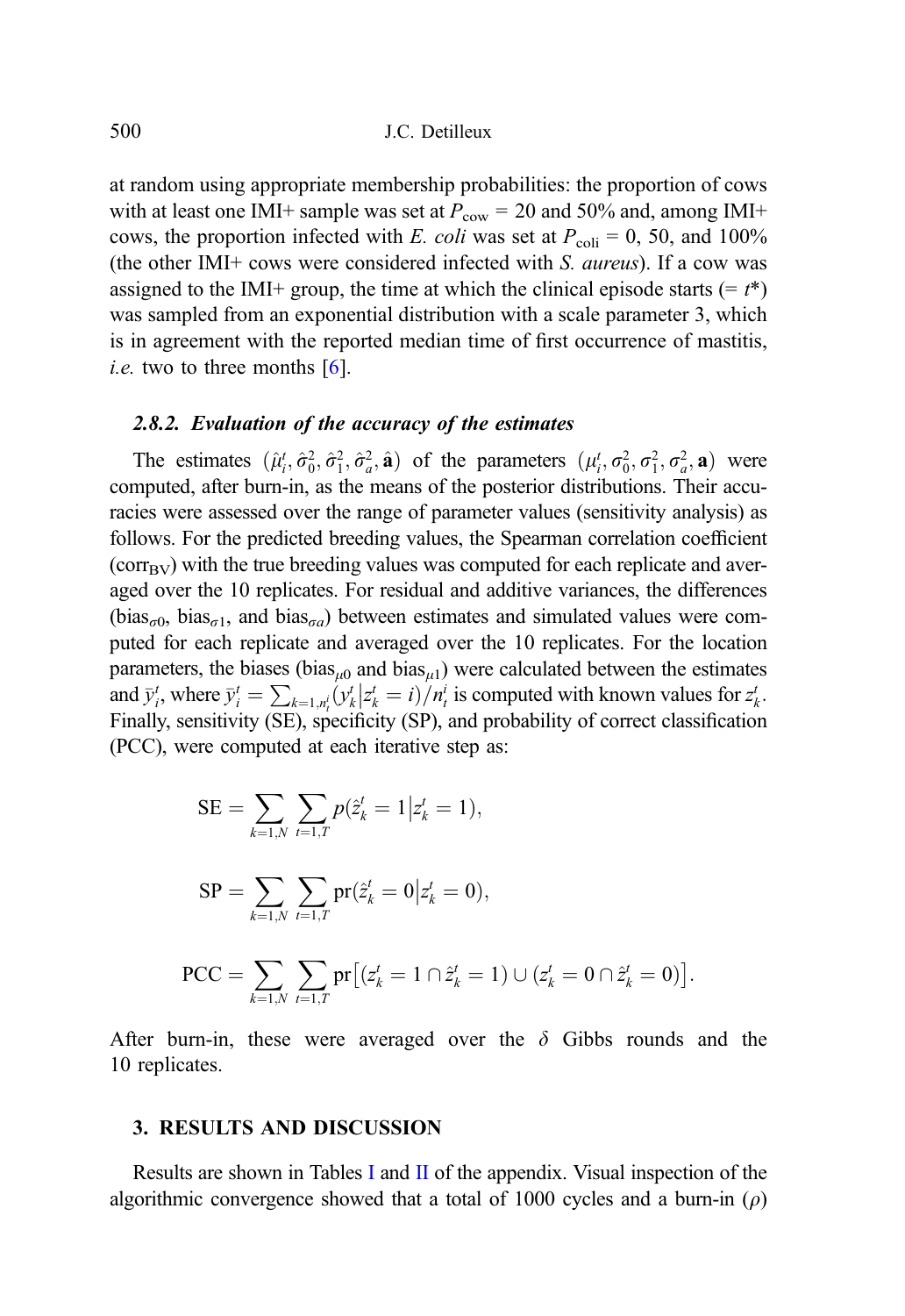at random using appropriate membership probabilities: the proportion of cows with at least one IMI+ sample was set at  $P_{\text{cow}} = 20$  and 50% and, among IMI+ cows, the proportion infected with E. coli was set at  $P_{\text{coll}} = 0$ , 50, and 100% (the other IMI+ cows were considered infected with S. aureus). If a cow was assigned to the IMI+ group, the time at which the clinical episode starts  $(= t^*)$ was sampled from an exponential distribution with a scale parameter 3, which is in agreement with the reported median time of first occurrence of mastitis, *i.e.* two to three months  $[6]$ .

## 2.8.2. Evaluation of the accuracy of the estimates

The estimates  $(\hat{\mu}_i^t, \hat{\sigma}_0^2, \hat{\sigma}_1^2, \hat{\sigma}_a^2, \hat{\mathbf{a}})$  of the parameters  $(\mu_i^t, \sigma_0^2, \sigma_1^2, \sigma_a^2, \mathbf{a})$  were computed, after burn-in, as the means of the posterior distributions. Their accuracies were assessed over the range of parameter values (sensitivity analysis) as follows. For the predicted breeding values, the Spearman correlation coefficient  $(corr_{BV})$  with the true breeding values was computed for each replicate and averaged over the 10 replicates. For residual and additive variances, the differences (bias<sub> $\sigma$ 0</sub>, bias<sub> $\sigma$ 1</sub>, and bias<sub> $\sigma$ a</sub>) between estimates and simulated values were computed for each replicate and averaged over the 10 replicates. For the location parameters, the biases (bias<sub>*u*0</sub> and bias<sub>*u*1</sub>) were calculated between the estimates and  $\bar{y}_i^t$ , where  $\bar{y}_i^t = \sum_{k=1, n_i^t} (y_k^t | z_k^t)$ Finally, sensitivity (SE), specificity (SP), and probability of correct classification  $|z'_k = i|/n_i^i$  is computed with known values for  $z'_k$ . (PCC), were computed at each iterative step as:

$$
SE = \sum_{k=1,N} \sum_{t=1,T} p(\hat{z}_k^t = 1 | z_k^t = 1),
$$
  
\n
$$
SP = \sum_{k=1,N} \sum_{t=1,T} \text{pr}(\hat{z}_k^t = 0 | z_k^t = 0),
$$
  
\n
$$
PCC = \sum_{k=1,N} \sum_{t=1,T} \text{pr}[(z_k^t = 1 \cap \hat{z}_k^t = 1) \cup (z_k^t = 0 \cap \hat{z}_k^t = 0)].
$$

After burn-in, these were averaged over the  $\delta$  Gibbs rounds and the 10 replicates.

### 3. RESULTS AND DISCUSSION

Results are shown in Tables [I](#page-17-0) and [II](#page-18-0) of the appendix. Visual inspection of the algorithmic convergence showed that a total of 1000 cycles and a burn-in  $(\rho)$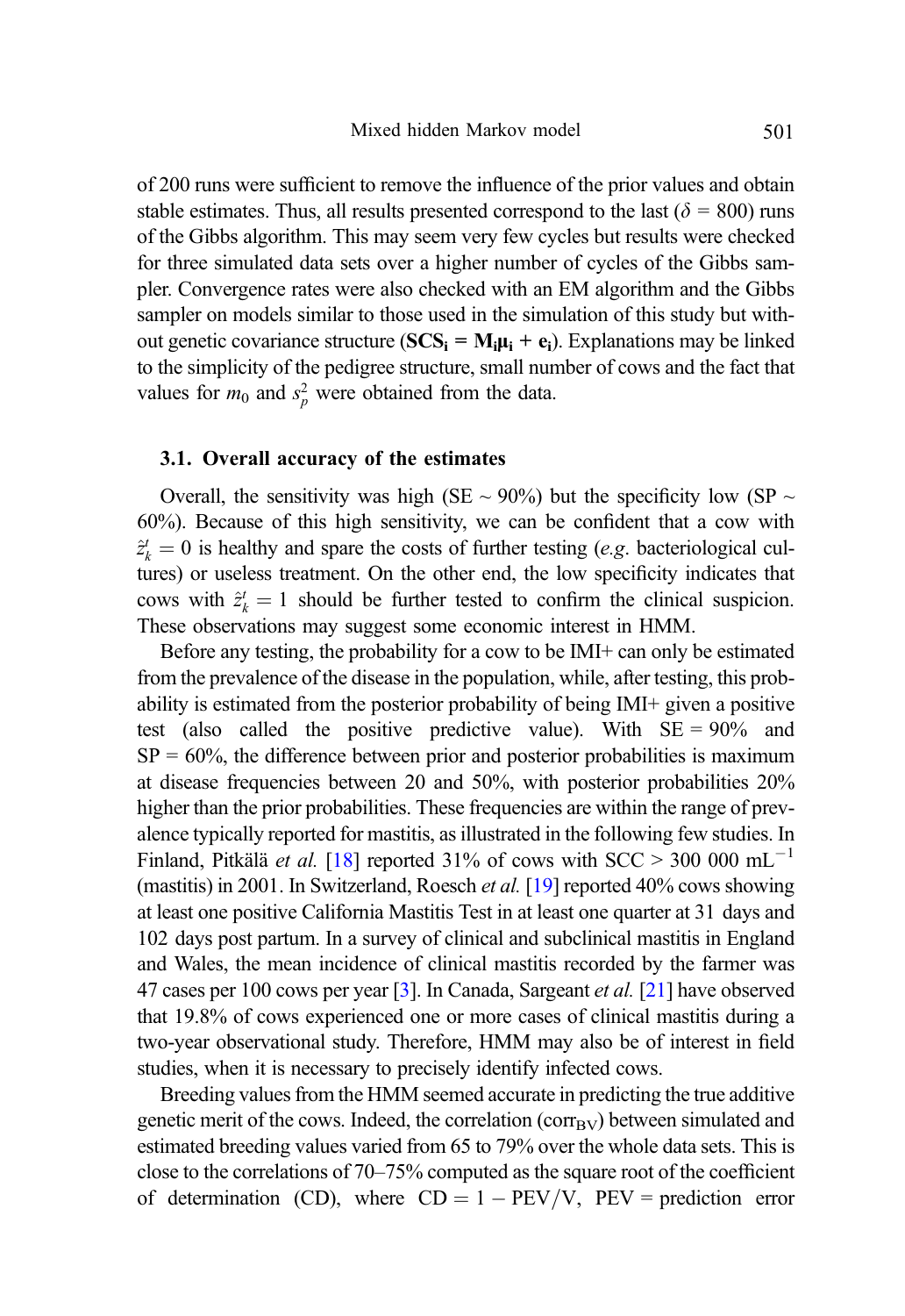of 200 runs were sufficient to remove the influence of the prior values and obtain stable estimates. Thus, all results presented correspond to the last ( $\delta = 800$ ) runs of the Gibbs algorithm. This may seem very few cycles but results were checked for three simulated data sets over a higher number of cycles of the Gibbs sampler. Convergence rates were also checked with an EM algorithm and the Gibbs sampler on models similar to those used in the simulation of this study but without genetic covariance structure ( $SCS_i = M_i \mu_i + e_i$ ). Explanations may be linked to the simplicity of the pedigree structure, small number of cows and the fact that values for  $m_0$  and  $s_p^2$  were obtained from the data.

## 3.1. Overall accuracy of the estimates

Overall, the sensitivity was high (SE  $\sim$  90%) but the specificity low (SP  $\sim$ 60%). Because of this high sensitivity, we can be confident that a cow with  $\hat{z}^t_k = 0$  is healthy and spare the costs of further testing (e.g. bacteriological cultures) or useless treatment. On the other end, the low specificity indicates that cows with  $\hat{z}_k^t = 1$  should be further tested to confirm the clinical suspicion. These observations may suggest some economic interest in HMM.

Before any testing, the probability for a cow to be IMI+ can only be estimated from the prevalence of the disease in the population, while, after testing, this probability is estimated from the posterior probability of being IMI+ given a positive test (also called the positive predictive value). With  $SE = 90\%$  and  $SP = 60\%$ , the difference between prior and posterior probabilities is maximum at disease frequencies between 20 and 50%, with posterior probabilities 20% higher than the prior probabilities. These frequencies are within the range of prevalence typically reported for mastitis, as illustrated in the following few studies. In Finland, Pitkälä et al. [\[18\]](#page-16-0) reported 31% of cows with  $SCC > 300000 \text{ mL}^{-1}$ (mastitis) in 2001. In Switzerland, Roesch et al. [\[19\]](#page-16-0) reported 40% cows showing at least one positive California Mastitis Test in at least one quarter at 31 days and 102 days post partum. In a survey of clinical and subclinical mastitis in England and Wales, the mean incidence of clinical mastitis recorded by the farmer was 47 cases per 100 cows per year [[3\]](#page-15-0). In Canada, Sargeant et al. [\[21\]](#page-16-0) have observed that 19.8% of cows experienced one or more cases of clinical mastitis during a two-year observational study. Therefore, HMM may also be of interest in field studies, when it is necessary to precisely identify infected cows.

Breeding values from the HMM seemed accurate in predicting the true additive genetic merit of the cows. Indeed, the correlation ( $\langle \text{corr}_{BV} \rangle$ ) between simulated and estimated breeding values varied from 65 to 79% over the whole data sets. This is close to the correlations of 70–75% computed as the square root of the coefficient of determination (CD), where  $CD = 1 - PEV/V$ ,  $PEV = prediction$  error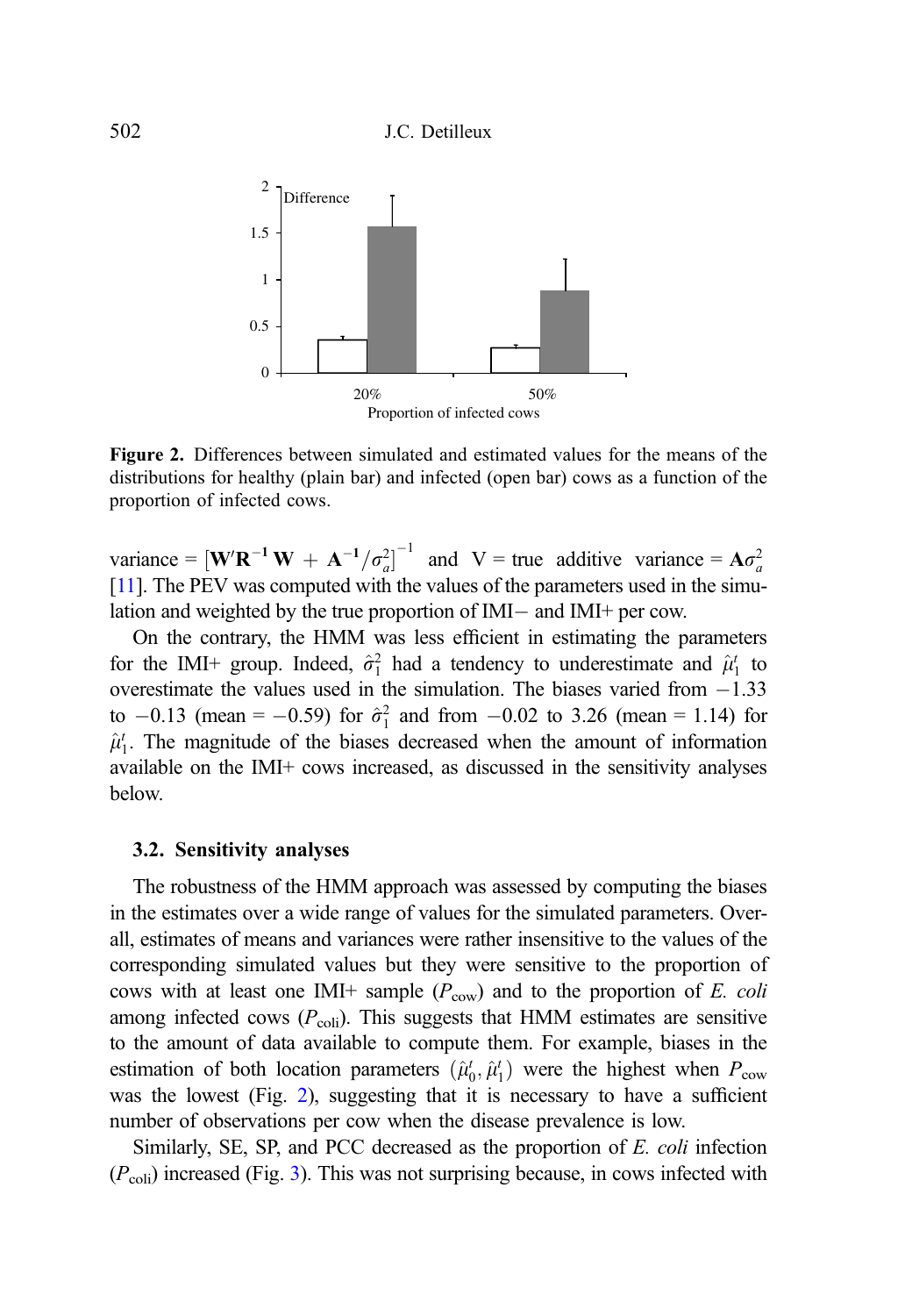

Figure 2. Differences between simulated and estimated values for the means of the distributions for healthy (plain bar) and infected (open bar) cows as a function of the proportion of infected cows.

variance =  $[\mathbf{W}'\mathbf{R}^{-1}\mathbf{W} + \mathbf{A}^{-1}/\sigma_a^2]^{-1}$  and V = true additive variance =  $\mathbf{A}\sigma_a^2$ [\[11](#page-15-0)]. The PEV was computed with the values of the parameters used in the simulation and weighted by the true proportion of IMI- and IMI+ per cow.

On the contrary, the HMM was less efficient in estimating the parameters for the IMI+ group. Indeed,  $\hat{\sigma}_1^2$  had a tendency to underestimate and  $\hat{\mu}_1^t$  to overestimate the values used in the simulation. The biases varied from  $-1.33$ to  $-0.13$  (mean =  $-0.59$ ) for  $\hat{\sigma}_1^2$  and from  $-0.02$  to 3.26 (mean = 1.14) for  $\hat{\mu}_1^t$ . The magnitude of the biases decreased when the amount of information available on the IMI+ cows increased, as discussed in the sensitivity analyses below.

#### 3.2. Sensitivity analyses

The robustness of the HMM approach was assessed by computing the biases in the estimates over a wide range of values for the simulated parameters. Overall, estimates of means and variances were rather insensitive to the values of the corresponding simulated values but they were sensitive to the proportion of cows with at least one IMI+ sample  $(P_{\text{cow}})$  and to the proportion of E. coli among infected cows  $(P_{\text{coli}})$ . This suggests that HMM estimates are sensitive to the amount of data available to compute them. For example, biases in the estimation of both location parameters  $(\hat{\mu}_0^t, \hat{\mu}_1^t)$  were the highest when  $P_{\text{cow}}$ was the lowest (Fig. 2), suggesting that it is necessary to have a sufficient number of observations per cow when the disease prevalence is low.

Similarly, SE, SP, and PCC decreased as the proportion of E. coli infection  $(P_{\text{coli}})$  increased (Fig. [3](#page-12-0)). This was not surprising because, in cows infected with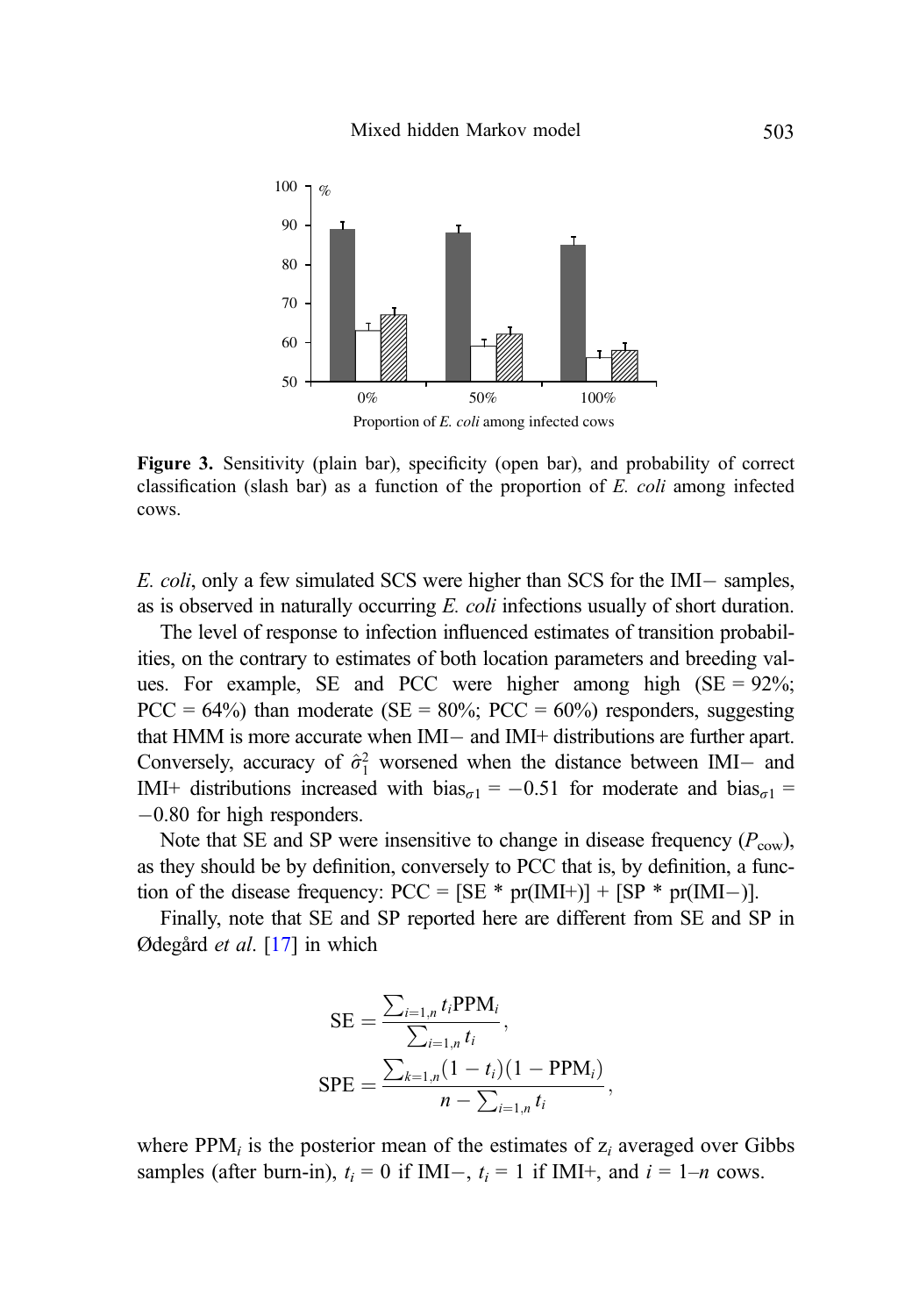<span id="page-12-0"></span>

Figure 3. Sensitivity (plain bar), specificity (open bar), and probability of correct classification (slash bar) as a function of the proportion of E. coli among infected cows.

E. coli, only a few simulated SCS were higher than SCS for the IMI- samples, as is observed in naturally occurring E. coli infections usually of short duration.

The level of response to infection influenced estimates of transition probabilities, on the contrary to estimates of both location parameters and breeding values. For example, SE and PCC were higher among high  $(SE = 92\%;$  $PCC = 64\%$ ) than moderate (SE = 80%;  $PCC = 60\%$ ) responders, suggesting that HMM is more accurate when IMI- and IMI+ distributions are further apart. Conversely, accuracy of  $\hat{\sigma}_1^2$  worsened when the distance between IMI- and IMI+ distributions increased with bias<sub> $\sigma$ 1</sub> = -0.51 for moderate and bias<sub> $\sigma$ 1</sub> = -0.80 for high responders.

Note that SE and SP were insensitive to change in disease frequency  $(P_{\text{cow}})$ , as they should be by definition, conversely to PCC that is, by definition, a function of the disease frequency:  $PCC = [SE * pr(MI+) ] + [SP * pr(MI-)].$ 

Finally, note that SE and SP reported here are different from SE and SP in Ødegård et al.  $[17]$  $[17]$  in which

$$
SE = \frac{\sum_{i=1,n} t_i PPM_i}{\sum_{i=1,n} t_i},
$$
  
SPE =  $\frac{\sum_{k=1,n} (1 - t_i)(1 - PPM_i)}{n - \sum_{i=1,n} t_i},$ 

where  $PPM_i$  is the posterior mean of the estimates of  $z_i$  averaged over Gibbs samples (after burn-in),  $t_i = 0$  if IMI-,  $t_i = 1$  if IMI+, and  $i = 1-n$  cows.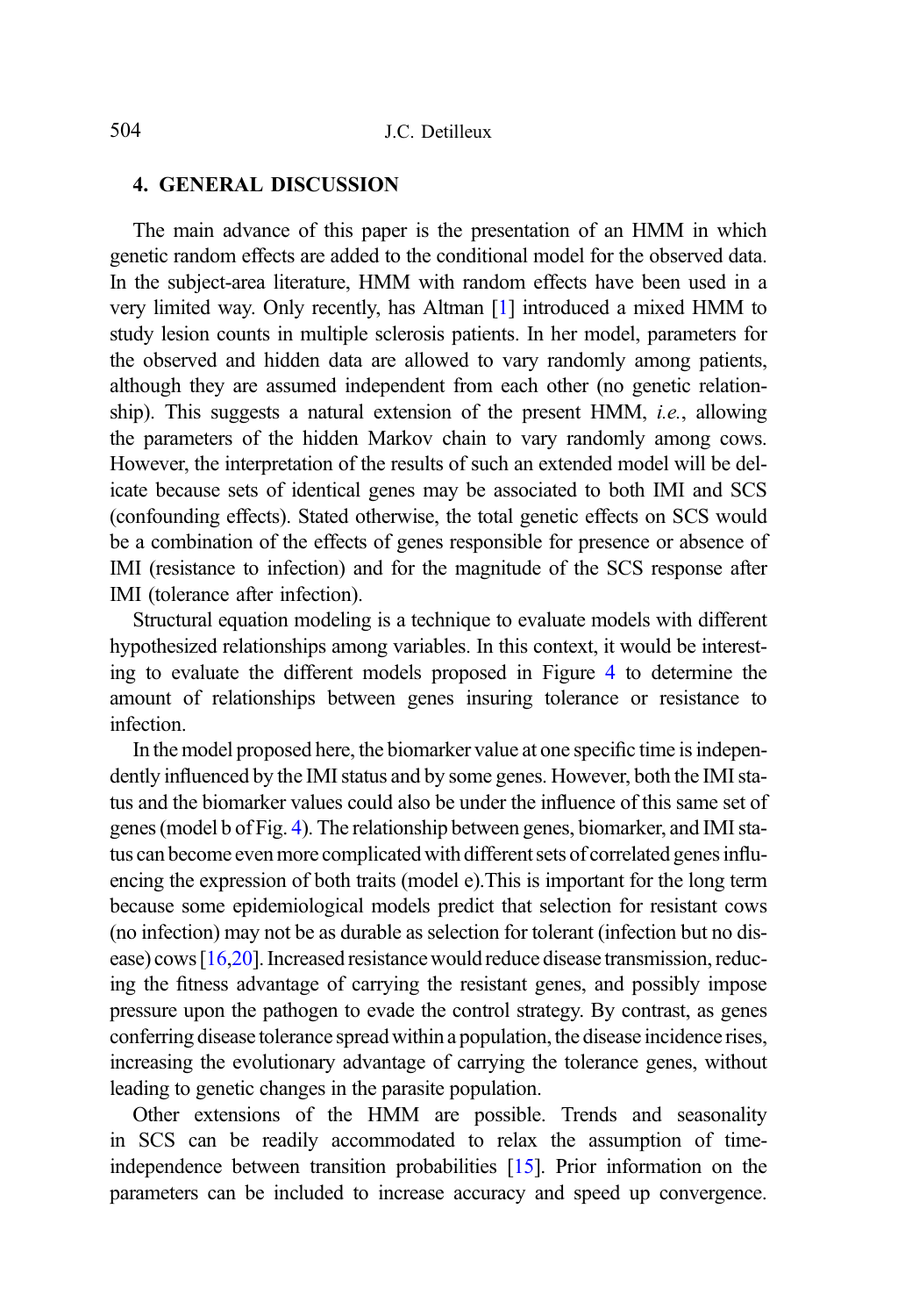## 4. GENERAL DISCUSSION

The main advance of this paper is the presentation of an HMM in which genetic random effects are added to the conditional model for the observed data. In the subject-area literature, HMM with random effects have been used in a very limited way. Only recently, has Altman [[1\]](#page-15-0) introduced a mixed HMM to study lesion counts in multiple sclerosis patients. In her model, parameters for the observed and hidden data are allowed to vary randomly among patients, although they are assumed independent from each other (no genetic relationship). This suggests a natural extension of the present HMM, i.e., allowing the parameters of the hidden Markov chain to vary randomly among cows. However, the interpretation of the results of such an extended model will be delicate because sets of identical genes may be associated to both IMI and SCS (confounding effects). Stated otherwise, the total genetic effects on SCS would be a combination of the effects of genes responsible for presence or absence of IMI (resistance to infection) and for the magnitude of the SCS response after IMI (tolerance after infection).

Structural equation modeling is a technique to evaluate models with different hypothesized relationships among variables. In this context, it would be interesting to evaluate the different models proposed in Figure [4](#page-14-0) to determine the amount of relationships between genes insuring tolerance or resistance to infection.

In the model proposed here, the biomarker value at one specific time is independently influenced by the IMI status and by some genes. However, both the IMI status and the biomarker values could also be under the influence of this same set of genes (model b of Fig. [4](#page-14-0)). The relationship between genes, biomarker, and IMI status can become even more complicated with different sets of correlated genes influencing the expression of both traits (model e).This is important for the long term because some epidemiological models predict that selection for resistant cows (no infection) may not be as durable as selection for tolerant (infection but no disease) cows [[16,20\]](#page-16-0). Increased resistance would reduce disease transmission, reducing the fitness advantage of carrying the resistant genes, and possibly impose pressure upon the pathogen to evade the control strategy. By contrast, as genes conferring disease tolerance spread within a population, the disease incidence rises, increasing the evolutionary advantage of carrying the tolerance genes, without leading to genetic changes in the parasite population.

Other extensions of the HMM are possible. Trends and seasonality in SCS can be readily accommodated to relax the assumption of timeindependence between transition probabilities [[15](#page-16-0)]. Prior information on the parameters can be included to increase accuracy and speed up convergence.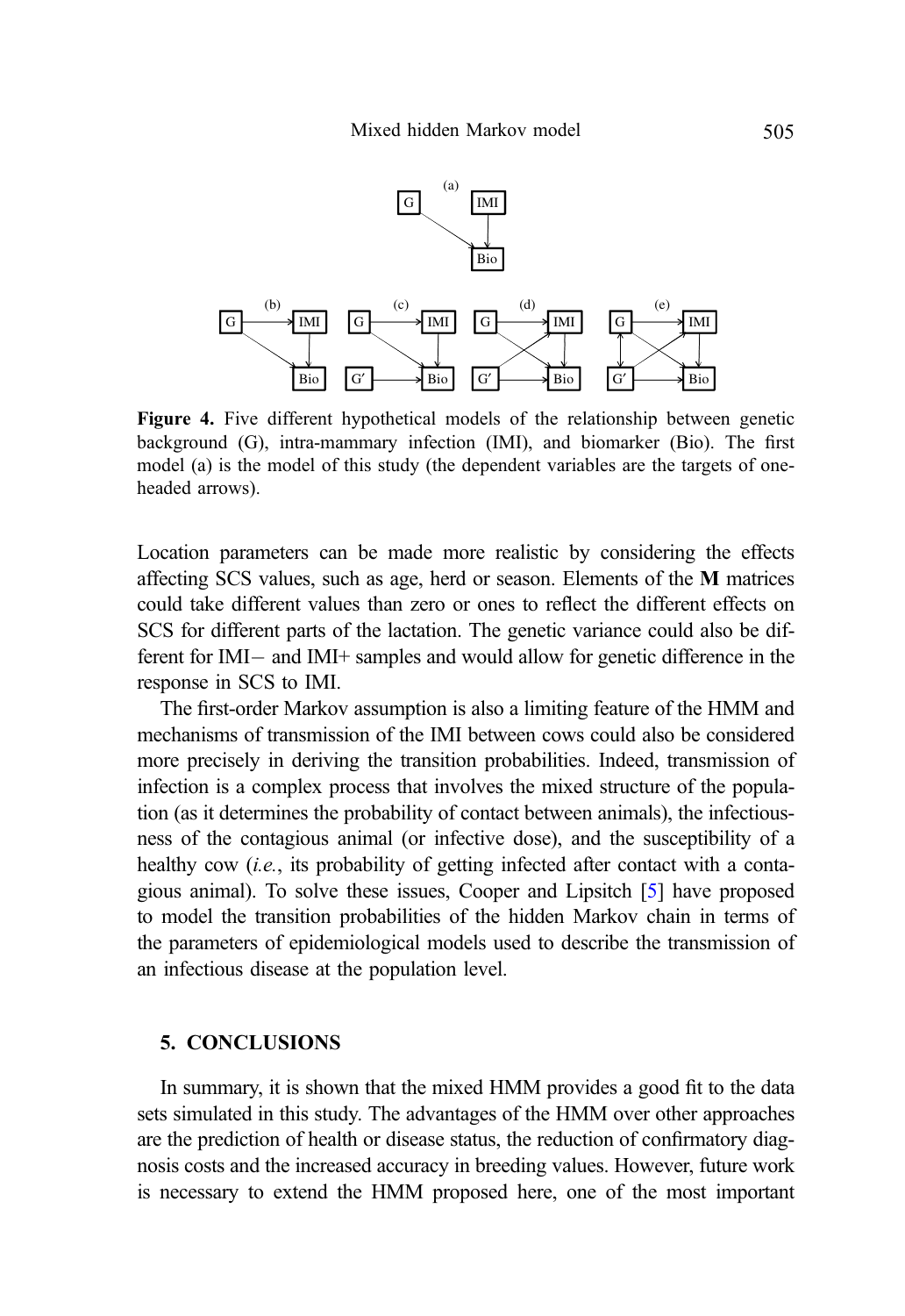<span id="page-14-0"></span>

Figure 4. Five different hypothetical models of the relationship between genetic background (G), intra-mammary infection (IMI), and biomarker (Bio). The first model (a) is the model of this study (the dependent variables are the targets of oneheaded arrows).

Location parameters can be made more realistic by considering the effects affecting SCS values, such as age, herd or season. Elements of the M matrices could take different values than zero or ones to reflect the different effects on SCS for different parts of the lactation. The genetic variance could also be different for IMI- and IMI+ samples and would allow for genetic difference in the response in SCS to IMI.

The first-order Markov assumption is also a limiting feature of the HMM and mechanisms of transmission of the IMI between cows could also be considered more precisely in deriving the transition probabilities. Indeed, transmission of infection is a complex process that involves the mixed structure of the population (as it determines the probability of contact between animals), the infectiousness of the contagious animal (or infective dose), and the susceptibility of a healthy cow (*i.e.*, its probability of getting infected after contact with a contagious animal). To solve these issues, Cooper and Lipsitch [[5\]](#page-15-0) have proposed to model the transition probabilities of the hidden Markov chain in terms of the parameters of epidemiological models used to describe the transmission of an infectious disease at the population level.

## 5. CONCLUSIONS

In summary, it is shown that the mixed HMM provides a good fit to the data sets simulated in this study. The advantages of the HMM over other approaches are the prediction of health or disease status, the reduction of confirmatory diagnosis costs and the increased accuracy in breeding values. However, future work is necessary to extend the HMM proposed here, one of the most important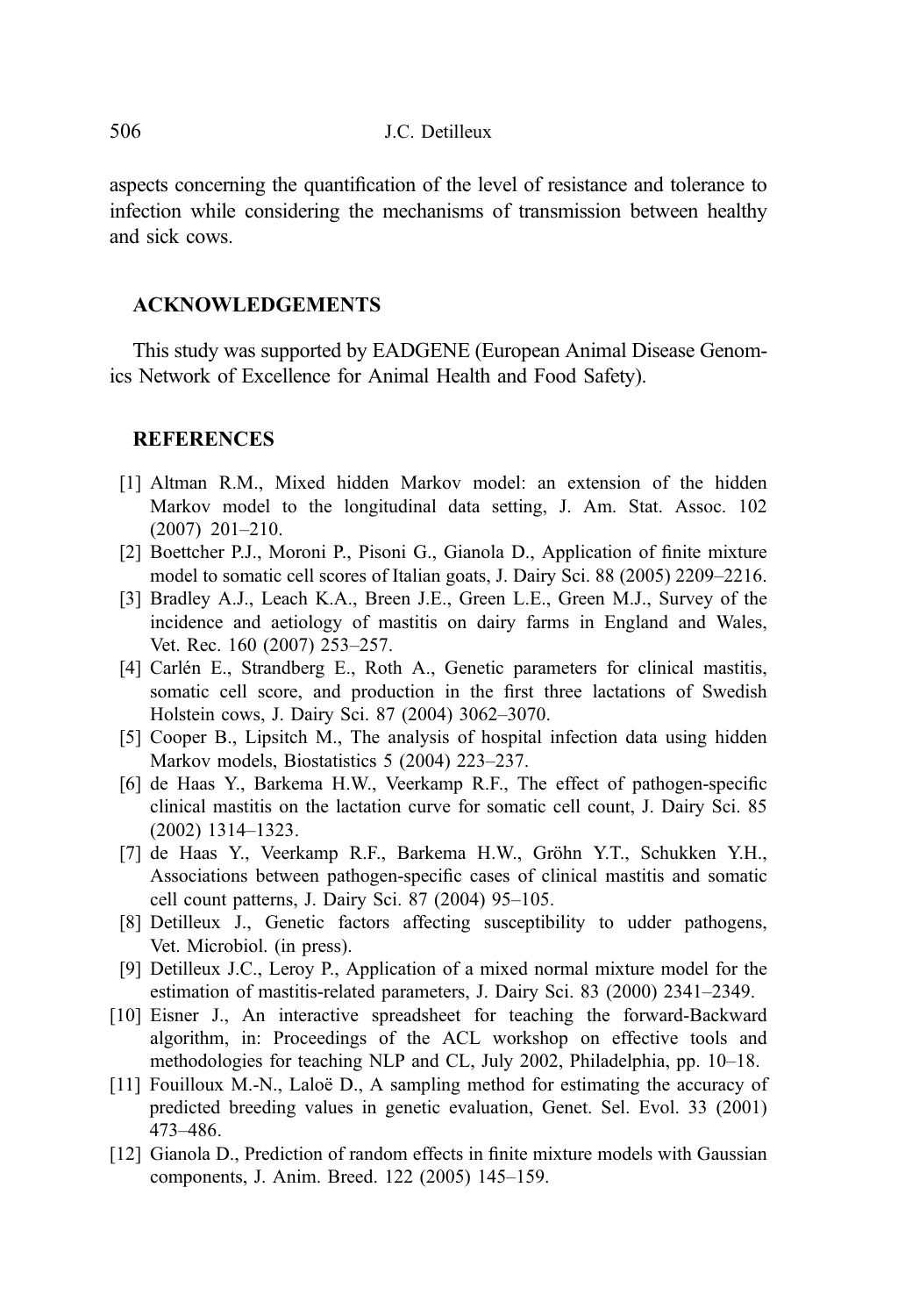<span id="page-15-0"></span>aspects concerning the quantification of the level of resistance and tolerance to infection while considering the mechanisms of transmission between healthy and sick cows.

## ACKNOWLEDGEMENTS

This study was supported by EADGENE (European Animal Disease Genomics Network of Excellence for Animal Health and Food Safety).

## **REFERENCES**

- [1] Altman R.M., Mixed hidden Markov model: an extension of the hidden Markov model to the longitudinal data setting, J. Am. Stat. Assoc. 102 (2007) 201–210.
- [2] Boettcher P.J., Moroni P., Pisoni G., Gianola D., Application of finite mixture model to somatic cell scores of Italian goats, J. Dairy Sci. 88 (2005) 2209–2216.
- [3] Bradley A.J., Leach K.A., Breen J.E., Green L.E., Green M.J., Survey of the incidence and aetiology of mastitis on dairy farms in England and Wales, Vet. Rec. 160 (2007) 253–257.
- [4] Carlén E., Strandberg E., Roth A., Genetic parameters for clinical mastitis, somatic cell score, and production in the first three lactations of Swedish Holstein cows, J. Dairy Sci. 87 (2004) 3062–3070.
- [5] Cooper B., Lipsitch M., The analysis of hospital infection data using hidden Markov models, Biostatistics 5 (2004) 223–237.
- [6] de Haas Y., Barkema H.W., Veerkamp R.F., The effect of pathogen-specific clinical mastitis on the lactation curve for somatic cell count, J. Dairy Sci. 85 (2002) 1314–1323.
- [7] de Haas Y., Veerkamp R.F., Barkema H.W., Gröhn Y.T., Schukken Y.H., Associations between pathogen-specific cases of clinical mastitis and somatic cell count patterns, J. Dairy Sci. 87 (2004) 95–105.
- [8] Detilleux J., Genetic factors affecting susceptibility to udder pathogens, Vet. Microbiol. (in press).
- [9] Detilleux J.C., Leroy P., Application of a mixed normal mixture model for the estimation of mastitis-related parameters, J. Dairy Sci. 83 (2000) 2341–2349.
- [10] Eisner J., An interactive spreadsheet for teaching the forward-Backward algorithm, in: Proceedings of the ACL workshop on effective tools and methodologies for teaching NLP and CL, July 2002, Philadelphia, pp. 10–18.
- [11] Fouilloux M.-N., Laloë D., A sampling method for estimating the accuracy of predicted breeding values in genetic evaluation, Genet. Sel. Evol. 33 (2001) 473–486.
- [12] Gianola D., Prediction of random effects in finite mixture models with Gaussian components, J. Anim. Breed. 122 (2005) 145–159.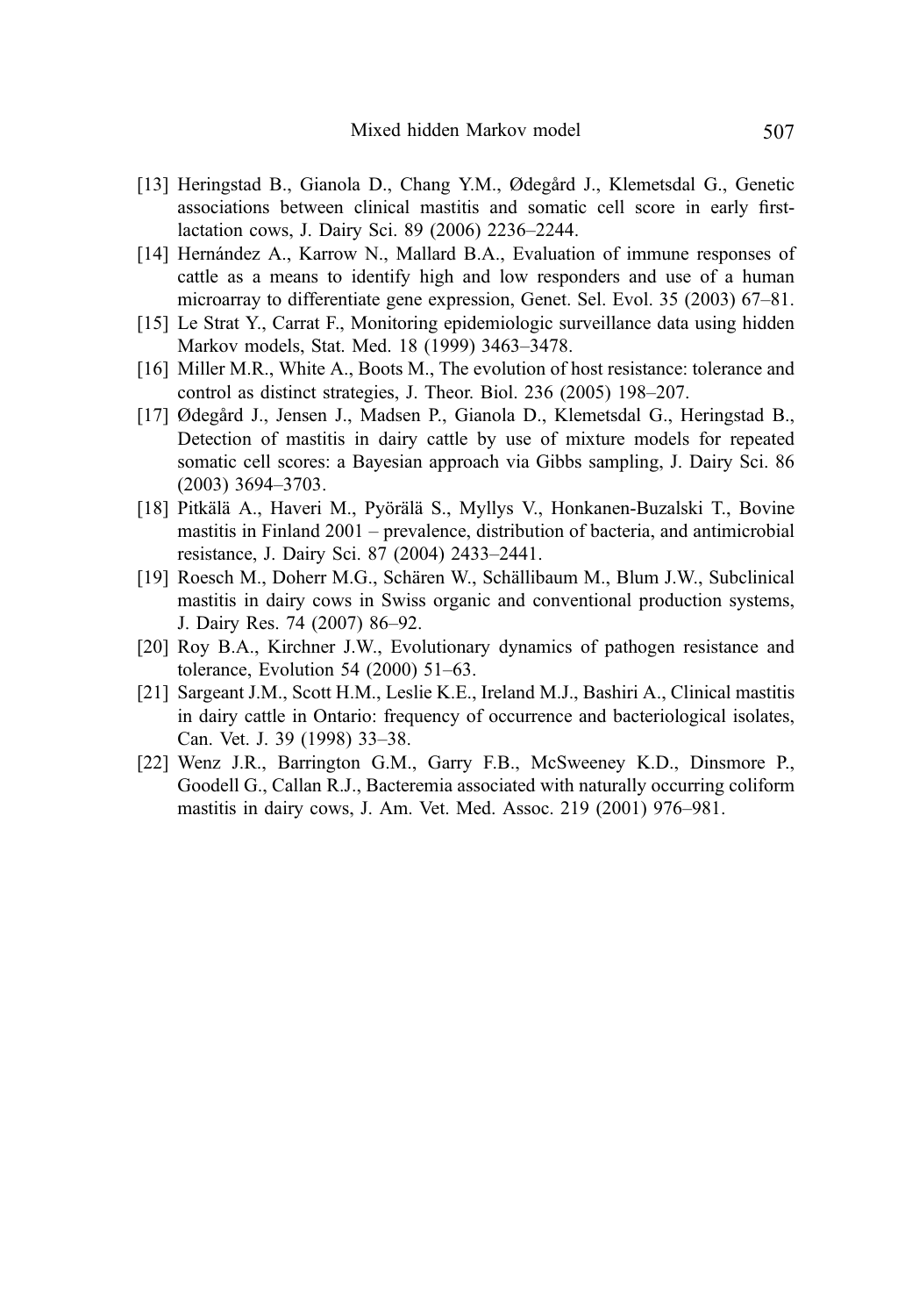- <span id="page-16-0"></span>[13] Heringstad B., Gianola D., Chang Y.M., Ødegård J., Klemetsdal G., Genetic associations between clinical mastitis and somatic cell score in early firstlactation cows, J. Dairy Sci. 89 (2006) 2236–2244.
- [14] Hernández A., Karrow N., Mallard B.A., Evaluation of immune responses of cattle as a means to identify high and low responders and use of a human microarray to differentiate gene expression, Genet. Sel. Evol. 35 (2003) 67–81.
- [15] Le Strat Y., Carrat F., Monitoring epidemiologic surveillance data using hidden Markov models, Stat. Med. 18 (1999) 3463–3478.
- [16] Miller M.R., White A., Boots M., The evolution of host resistance: tolerance and control as distinct strategies, J. Theor. Biol. 236 (2005) 198–207.
- [17] Ødegård J., Jensen J., Madsen P., Gianola D., Klemetsdal G., Heringstad B., Detection of mastitis in dairy cattle by use of mixture models for repeated somatic cell scores: a Bayesian approach via Gibbs sampling, J. Dairy Sci. 86 (2003) 3694–3703.
- [18] Pitkälä A., Haveri M., Pyörälä S., Myllys V., Honkanen-Buzalski T., Bovine mastitis in Finland 2001 – prevalence, distribution of bacteria, and antimicrobial resistance, J. Dairy Sci. 87 (2004) 2433–2441.
- [19] Roesch M., Doherr M.G., Schären W., Schällibaum M., Blum J.W., Subclinical mastitis in dairy cows in Swiss organic and conventional production systems, J. Dairy Res. 74 (2007) 86–92.
- [20] Roy B.A., Kirchner J.W., Evolutionary dynamics of pathogen resistance and tolerance, Evolution 54 (2000) 51–63.
- [21] Sargeant J.M., Scott H.M., Leslie K.E., Ireland M.J., Bashiri A., Clinical mastitis in dairy cattle in Ontario: frequency of occurrence and bacteriological isolates, Can. Vet. J. 39 (1998) 33–38.
- [22] Wenz J.R., Barrington G.M., Garry F.B., McSweeney K.D., Dinsmore P., Goodell G., Callan R.J., Bacteremia associated with naturally occurring coliform mastitis in dairy cows, J. Am. Vet. Med. Assoc. 219 (2001) 976–981.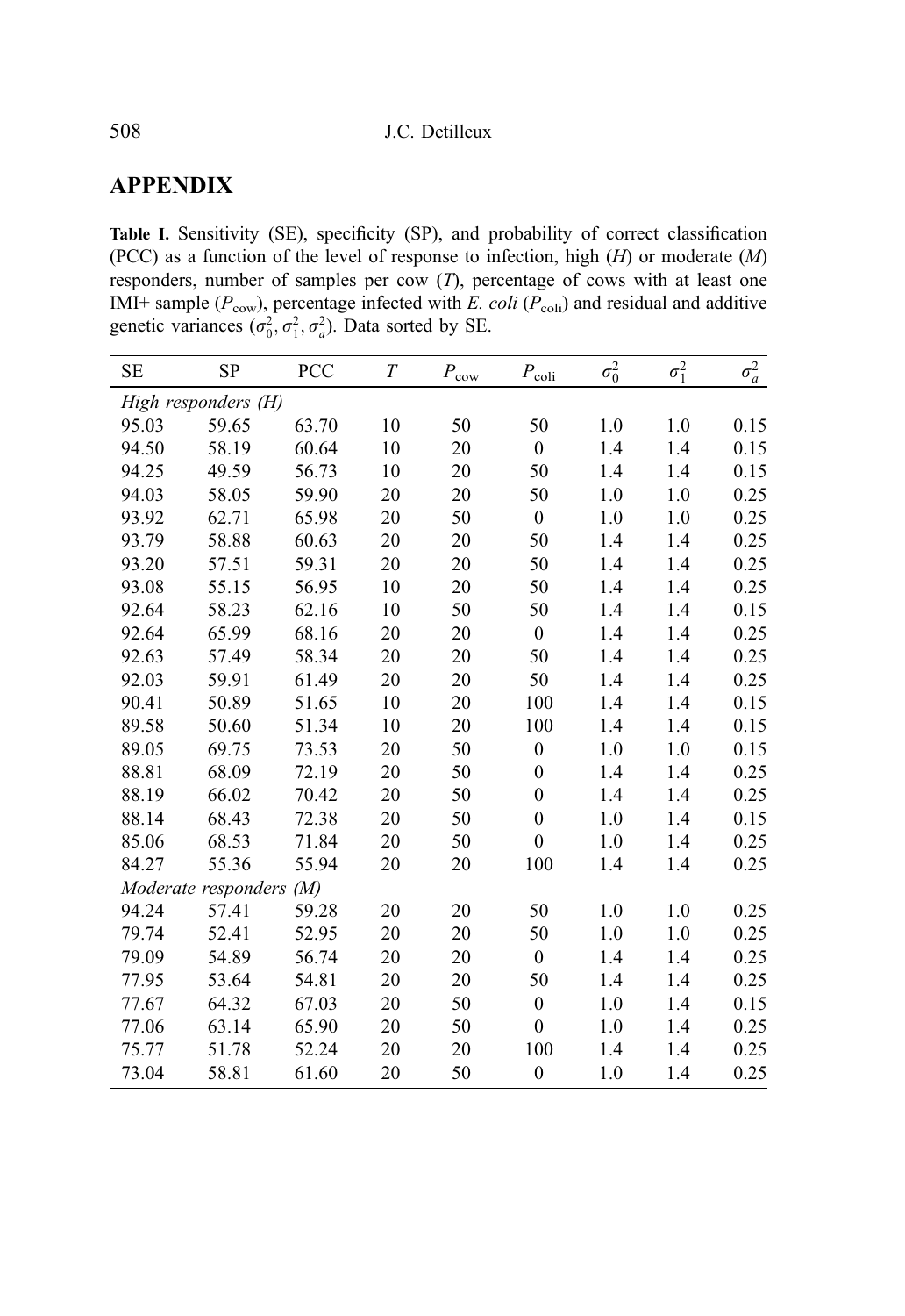# <span id="page-17-0"></span>APPENDIX

Table I. Sensitivity (SE), specificity (SP), and probability of correct classification (PCC) as a function of the level of response to infection, high  $(H)$  or moderate  $(M)$ responders, number of samples per cow (T), percentage of cows with at least one IMI+ sample ( $P_{\text{cow}}$ ), percentage infected with E. *coli* ( $P_{\text{coll}}$ ) and residual and additive genetic variances  $(\sigma_0^2, \sigma_1^2, \sigma_a^2)$ . Data sorted by SE.

| SE                      | <b>SP</b> | PCC   | $\overline{T}$ | $P_{\rm{cov}}$ | $P_{\rm coli}$   | $\sigma_0^2$ | $\sigma_1^2$ | $\sigma_a^2$ |  |  |
|-------------------------|-----------|-------|----------------|----------------|------------------|--------------|--------------|--------------|--|--|
| High responders (H)     |           |       |                |                |                  |              |              |              |  |  |
| 95.03                   | 59.65     | 63.70 | 10             | 50             | 50               | 1.0          | 1.0          | 0.15         |  |  |
| 94.50                   | 58.19     | 60.64 | 10             | 20             | $\boldsymbol{0}$ | 1.4          | 1.4          | 0.15         |  |  |
| 94.25                   | 49.59     | 56.73 | 10             | 20             | 50               | 1.4          | 1.4          | 0.15         |  |  |
| 94.03                   | 58.05     | 59.90 | 20             | 20             | 50               | 1.0          | $1.0\,$      | 0.25         |  |  |
| 93.92                   | 62.71     | 65.98 | 20             | 50             | $\boldsymbol{0}$ | 1.0          | 1.0          | 0.25         |  |  |
| 93.79                   | 58.88     | 60.63 | 20             | 20             | 50               | 1.4          | 1.4          | 0.25         |  |  |
| 93.20                   | 57.51     | 59.31 | 20             | 20             | 50               | 1.4          | 1.4          | 0.25         |  |  |
| 93.08                   | 55.15     | 56.95 | 10             | 20             | 50               | 1.4          | 1.4          | 0.25         |  |  |
| 92.64                   | 58.23     | 62.16 | 10             | 50             | 50               | 1.4          | 1.4          | 0.15         |  |  |
| 92.64                   | 65.99     | 68.16 | 20             | 20             | $\boldsymbol{0}$ | 1.4          | 1.4          | 0.25         |  |  |
| 92.63                   | 57.49     | 58.34 | 20             | 20             | 50               | 1.4          | 1.4          | 0.25         |  |  |
| 92.03                   | 59.91     | 61.49 | 20             | 20             | 50               | 1.4          | 1.4          | 0.25         |  |  |
| 90.41                   | 50.89     | 51.65 | 10             | 20             | 100              | 1.4          | 1.4          | 0.15         |  |  |
| 89.58                   | 50.60     | 51.34 | 10             | 20             | 100              | 1.4          | 1.4          | 0.15         |  |  |
| 89.05                   | 69.75     | 73.53 | 20             | 50             | $\boldsymbol{0}$ | 1.0          | 1.0          | 0.15         |  |  |
| 88.81                   | 68.09     | 72.19 | 20             | 50             | $\boldsymbol{0}$ | 1.4          | 1.4          | 0.25         |  |  |
| 88.19                   | 66.02     | 70.42 | 20             | 50             | $\boldsymbol{0}$ | 1.4          | 1.4          | 0.25         |  |  |
| 88.14                   | 68.43     | 72.38 | 20             | 50             | $\boldsymbol{0}$ | 1.0          | 1.4          | 0.15         |  |  |
| 85.06                   | 68.53     | 71.84 | 20             | 50             | $\boldsymbol{0}$ | 1.0          | 1.4          | 0.25         |  |  |
| 84.27                   | 55.36     | 55.94 | 20             | 20             | 100              | 1.4          | 1.4          | 0.25         |  |  |
| Moderate responders (M) |           |       |                |                |                  |              |              |              |  |  |
| 94.24                   | 57.41     | 59.28 | 20             | 20             | 50               | 1.0          | 1.0          | 0.25         |  |  |
| 79.74                   | 52.41     | 52.95 | 20             | 20             | 50               | 1.0          | 1.0          | 0.25         |  |  |
| 79.09                   | 54.89     | 56.74 | 20             | 20             | $\boldsymbol{0}$ | 1.4          | 1.4          | 0.25         |  |  |
| 77.95                   | 53.64     | 54.81 | 20             | 20             | 50               | 1.4          | 1.4          | 0.25         |  |  |
| 77.67                   | 64.32     | 67.03 | 20             | 50             | $\boldsymbol{0}$ | 1.0          | 1.4          | 0.15         |  |  |
| 77.06                   | 63.14     | 65.90 | 20             | 50             | $\boldsymbol{0}$ | 1.0          | 1.4          | 0.25         |  |  |
| 75.77                   | 51.78     | 52.24 | 20             | 20             | 100              | 1.4          | 1.4          | 0.25         |  |  |
| 73.04                   | 58.81     | 61.60 | 20             | 50             | $\boldsymbol{0}$ | 1.0          | 1.4          | 0.25         |  |  |